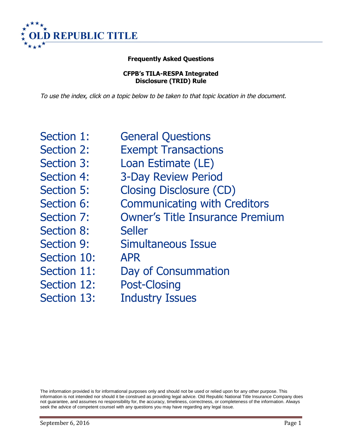

# **Frequently Asked Questions**

**CFPB's TILA-RESPA Integrated Disclosure (TRID) Rule**

To use the index, click on <sup>a</sup> topic below to be taken to that topic location in the document.

<span id="page-0-0"></span>[Section 1: General Questions](#page-0-0) [Section 2: Exempt Transactions](#page-3-0) [Section 3: Loan Estimate \(LE\)](#page-5-0) [Section 4: 3-Day Review Period](#page-6-0) [Section 5: Closing Disclosure \(CD\)](#page-9-0) [Section 6: Communicating with Creditors](#page-18-0) [Section 7: Owner's Title Insurance Premium](#page-19-0) [Section 8: Seller](#page-21-0) [Section 9: Simultaneous Issue](#page-23-0) [Section 10: APR](#page-29-0) [Section 11: Day of Consummation](#page-30-0) [Section 12: Post-Closing](#page-32-0) [Section 13: Industry Issues](#page-36-0)

The information provided is for informational purposes only and should not be used or relied upon for any other purpose. This information is not intended nor should it be construed as providing legal advice. Old Republic National Title Insurance Company does not guarantee, and assumes no responsibility for, the accuracy, timeliness, correctness, or completeness of the information. Always seek the advice of competent counsel with any questions you may have regarding any legal issue.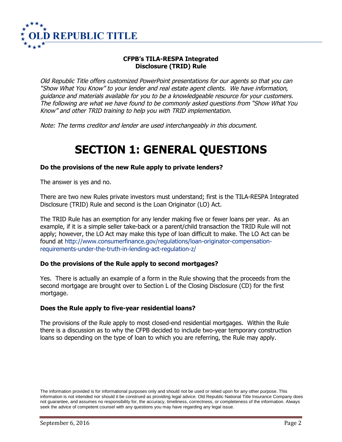

# **CFPB's TILA-RESPA Integrated Disclosure (TRID) Rule**

Old Republic Title offers customized PowerPoint presentations for our agents so that you can "Show What You Know" to your lender and real estate agent clients. We have information, guidance and materials available for you to be <sup>a</sup> knowledgeable resource for your customers. The following are what we have found to be commonly asked questions from "Show What You Know" and other TRID training to help you with TRID implementation.

Note: The terms creditor and lender are used interchangeably in this document.

# <span id="page-1-0"></span>**[SECTION 1: GENERAL QU](#page-1-0)ESTIONS**

#### **Do the provisions of the new Rule apply to private lenders?**

The answer is yes and no.

There are two new Rules private investors must understand; first is the TILA-RESPA Integrated Disclosure (TRID) Rule and second is the Loan Originator (LO) Act.

The TRID Rule has an exemption for any lender making five or fewer loans per year. As an example, if it is a simple seller take-back or a parent/child transaction the TRID Rule will not apply; however, the LO Act may make this type of loan difficult to make. The LO Act can be found at [http://www.consumerfinance.gov/regulations/loan-originator-compensation](http://www.consumerfinance.gov/regulations/loan-originator-compensation-requirements-under-the-truth-in-lending-act-regulation-z/)[requirements-under-the-truth-in-lending-act-regulation-z/](http://www.consumerfinance.gov/regulations/loan-originator-compensation-requirements-under-the-truth-in-lending-act-regulation-z/)

#### **Do the provisions of the Rule apply to second mortgages?**

Yes. There is actually an example of a form in the Rule showing that the proceeds from the second mortgage are brought over to Section L of the Closing Disclosure (CD) for the first mortgage.

#### **Does the Rule apply to five-year residential loans?**

The provisions of the Rule apply to most closed-end residential mortgages. Within the Rule there is a discussion as to why the CFPB decided to include two-year temporary construction loans so depending on the type of loan to which you are referring, the Rule may apply.

The information provided is for informational purposes only and should not be used or relied upon for any other purpose. This information is not intended nor should it be construed as providing legal advice. Old Republic National Title Insurance Company does not guarantee, and assumes no responsibility for, the accuracy, timeliness, correctness, or completeness of the information. Always seek the advice of competent counsel with any questions you may have regarding any legal issue.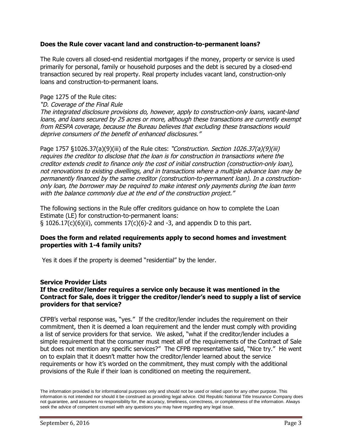### **Does the Rule cover vacant land and construction-to-permanent loans?**

The Rule covers all closed-end residential mortgages if the money, property or service is used primarily for personal, family or household purposes and the debt is secured by a closed-end transaction secured by real property. Real property includes vacant land, construction-only loans and construction-to-permanent loans.

#### Page 1275 of the Rule cites:

"D. Coverage of the Final Rule

The integrated disclosure provisions do, however, apply to construction-only loans, vacant-land loans, and loans secured by 25 acres or more, although these transactions are currently exempt from RESPA coverage, because the Bureau believes that excluding these transactions would deprive consumers of the benefit of enhanced disclosures."

Page 1757 §1026.37(a)(9)(iii) of the Rule cites: "Construction. Section 1026.37(a)(9)(iii) requires the creditor to disclose that the loan is for construction in transactions where the creditor extends credit to finance only the cost of initial construction (construction-only loan), not renovations to existing dwellings, and in transactions where <sup>a</sup> multiple advance loan may be permanently financed by the same creditor (construction-to-permanent loan). In a constructiononly loan, the borrower may be required to make interest only payments during the loan term with the balance commonly due at the end of the construction project."

The following sections in the Rule offer creditors guidance on how to complete the Loan Estimate (LE) for construction-to-permanent loans: § 1026.17(c)(6)(ii), comments 17(c)(6)-2 and -3, and appendix D to this part.

#### **Does the form and related requirements apply to second homes and investment properties with 1-4 family units?**

Yes it does if the property is deemed "residential" by the lender.

#### **Service Provider Lists**

### **If the creditor/lender requires a service only because it was mentioned in the Contract for Sale, does it trigger the creditor/lender's need to supply a list of service providers for that service?**

CFPB's verbal response was, "yes." If the creditor/lender includes the requirement on their commitment, then it is deemed a loan requirement and the lender must comply with providing a list of service providers for that service. We asked, "what if the creditor/lender includes a simple requirement that the consumer must meet all of the requirements of the Contract of Sale but does not mention any specific services?" The CFPB representative said, "Nice try." He went on to explain that it doesn't matter how the creditor/lender learned about the service requirements or how it's worded on the commitment, they must comply with the additional provisions of the Rule if their loan is conditioned on meeting the requirement.

The information provided is for informational purposes only and should not be used or relied upon for any other purpose. This information is not intended nor should it be construed as providing legal advice. Old Republic National Title Insurance Company does not guarantee, and assumes no responsibility for, the accuracy, timeliness, correctness, or completeness of the information. Always seek the advice of competent counsel with any questions you may have regarding any legal issue.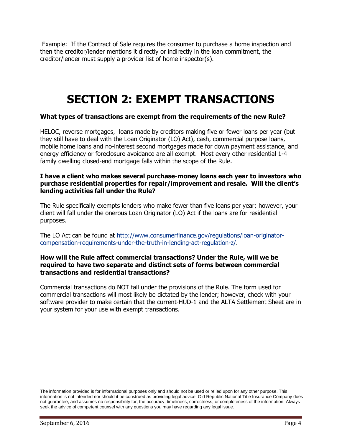Example: If the Contract of Sale requires the consumer to purchase a home inspection and then the creditor/lender mentions it directly or indirectly in the loan commitment, the creditor/lender must supply a provider list of home inspector(s).

# <span id="page-3-0"></span>**SECTION 2: EXEMPT TRANSACTIONS**

# **What types of transactions are exempt from the requirements of the new Rule?**

HELOC, reverse mortgages, loans made by creditors making five or fewer loans per year (but they still have to deal with the Loan Originator (LO) Act), cash, commercial purpose loans, mobile home loans and no-interest second mortgages made for down payment assistance, and energy efficiency or foreclosure avoidance are all exempt. Most every other residential 1-4 family dwelling closed-end mortgage falls within the scope of the Rule.

#### **I have a client who makes several purchase-money loans each year to investors who purchase residential properties for repair/improvement and resale. Will the client's lending activities fall under the Rule?**

The Rule specifically exempts lenders who make fewer than five loans per year; however, your client will fall under the onerous Loan Originator (LO) Act if the loans are for residential purposes.

The LO Act can be found at [http://www.consumerfinance.gov/regulations/loan-originator](http://www.consumerfinance.gov/regulations/loan-originator-compensation-requirements-under-the-truth-in-lending-act-regulation-z/)[compensation-requirements-under-the-truth-in-lending-act-regulation-z/.](http://www.consumerfinance.gov/regulations/loan-originator-compensation-requirements-under-the-truth-in-lending-act-regulation-z/)

### **How will the Rule affect commercial transactions? Under the Rule, will we be required to have two separate and distinct sets of forms between commercial transactions and residential transactions?**

Commercial transactions do NOT fall under the provisions of the Rule. The form used for commercial transactions will most likely be dictated by the lender; however, check with your software provider to make certain that the current-HUD-1 and the ALTA Settlement Sheet are in your system for your use with exempt transactions.

The information provided is for informational purposes only and should not be used or relied upon for any other purpose. This information is not intended nor should it be construed as providing legal advice. Old Republic National Title Insurance Company does not guarantee, and assumes no responsibility for, the accuracy, timeliness, correctness, or completeness of the information. Always seek the advice of competent counsel with any questions you may have regarding any legal issue.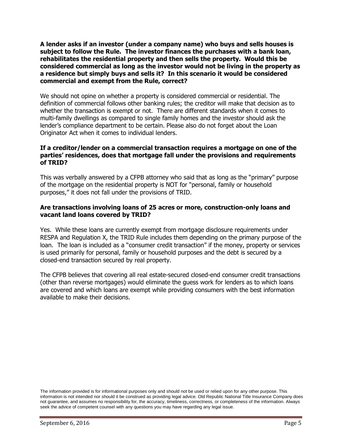**A lender asks if an investor (under a company name) who buys and sells houses is subject to follow the Rule. The investor finances the purchases with a bank loan, rehabilitates the residential property and then sells the property. Would this be considered commercial as long as the investor would not be living in the property as a residence but simply buys and sells it? In this scenario it would be considered commercial and exempt from the Rule, correct?**

We should not opine on whether a property is considered commercial or residential. The definition of commercial follows other banking rules; the creditor will make that decision as to whether the transaction is exempt or not. There are different standards when it comes to multi-family dwellings as compared to single family homes and the investor should ask the lender's compliance department to be certain. Please also do not forget about the Loan Originator Act when it comes to individual lenders.

## **If a creditor/lender on a commercial transaction requires a mortgage on one of the parties' residences, does that mortgage fall under the provisions and requirements of TRID?**

This was verbally answered by a CFPB attorney who said that as long as the "primary" purpose of the mortgage on the residential property is NOT for "personal, family or household purposes," it does not fall under the provisions of TRID.

## **Are transactions involving loans of 25 acres or more, construction-only loans and vacant land loans covered by TRID?**

Yes. While these loans are currently exempt from mortgage disclosure requirements under RESPA and Regulation X, the TRID Rule includes them depending on the primary purpose of the loan. The loan is included as a "consumer credit transaction" if the money, property or services is used primarily for personal, family or household purposes and the debt is secured by a closed-end transaction secured by real property.

The CFPB believes that covering all real estate-secured closed-end consumer credit transactions (other than reverse mortgages) would eliminate the guess work for lenders as to which loans are covered and which loans are exempt while providing consumers with the best information available to make their decisions.

The information provided is for informational purposes only and should not be used or relied upon for any other purpose. This information is not intended nor should it be construed as providing legal advice. Old Republic National Title Insurance Company does not guarantee, and assumes no responsibility for, the accuracy, timeliness, correctness, or completeness of the information. Always seek the advice of competent counsel with any questions you may have regarding any legal issue.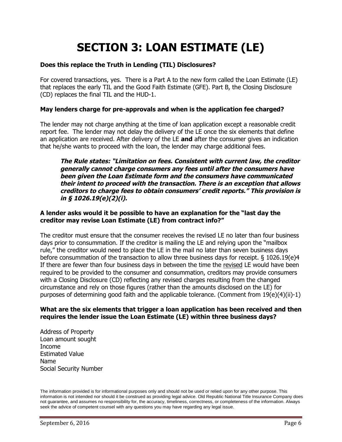# <span id="page-5-0"></span>**SECTION 3: LOAN ESTIMATE (LE)**

# **Does this replace the Truth in Lending (TIL) Disclosures?**

For covered transactions, yes. There is a Part A to the new form called the Loan Estimate (LE) that replaces the early TIL and the Good Faith Estimate (GFE). Part B, the Closing Disclosure (CD) replaces the final TIL and the HUD-1.

# **May lenders charge for pre-approvals and when is the application fee charged?**

The lender may not charge anything at the time of loan application except a reasonable credit report fee. The lender may not delay the delivery of the LE once the six elements that define an application are received. After delivery of the LE **and** after the consumer gives an indication that he/she wants to proceed with the loan, the lender may charge additional fees.

The Rule states: "Limitation on fees. Consistent with current law, the creditor **generally cannot charge consumers any fees until after the consumers have been given the Loan Estimate form and the consumers have communicated** their intent to proceed with the transaction. There is an exception that allows creditors to charge fees to obtain consumers' credit reports." This provision is **in § 1026.19(e)(2)(i).**

#### **A lender asks would it be possible to have an explanation for the "last day the creditor may revise Loan Estimate (LE) from contract info?"**

The creditor must ensure that the consumer receives the revised LE no later than four business days prior to consummation. If the creditor is mailing the LE and relying upon the "mailbox rule," the creditor would need to place the LE in the mail no later than seven business days before consummation of the transaction to allow three business days for receipt. § 1026.19(e)4 If there are fewer than four business days in between the time the revised LE would have been required to be provided to the consumer and consummation, creditors may provide consumers with a Closing Disclosure (CD) reflecting any revised charges resulting from the changed circumstance and rely on those figures (rather than the amounts disclosed on the LE) for purposes of determining good faith and the applicable tolerance. (Comment from 19(e)(4)(ii)-1)

#### **What are the six elements that trigger a loan application has been received and then requires the lender issue the Loan Estimate (LE) within three business days?**

Address of Property Loan amount sought Income Estimated Value Name Social Security Number

The information provided is for informational purposes only and should not be used or relied upon for any other purpose. This information is not intended nor should it be construed as providing legal advice. Old Republic National Title Insurance Company does not guarantee, and assumes no responsibility for, the accuracy, timeliness, correctness, or completeness of the information. Always seek the advice of competent counsel with any questions you may have regarding any legal issue.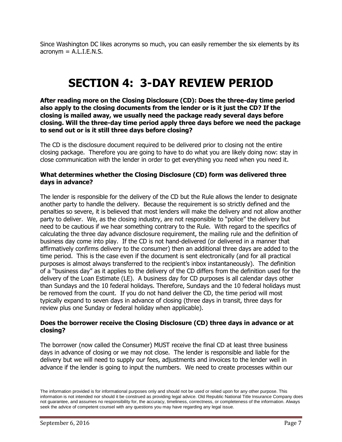Since Washington DC likes acronyms so much, you can easily remember the six elements by its  $a$ cronym =  $A.L.I.E.N.S.$ 

# <span id="page-6-0"></span>**SECTION 4: 3-DAY REVIEW PERIOD**

**After reading more on the Closing Disclosure (CD): Does the three-day time period also apply to the closing documents from the lender or is it just the CD? If the closing is mailed away, we usually need the package ready several days before closing. Will the three-day time period apply three days before we need the package to send out or is it still three days before closing?**

The CD is the disclosure document required to be delivered prior to closing not the entire closing package. Therefore you are going to have to do what you are likely doing now: stay in close communication with the lender in order to get everything you need when you need it.

#### **What determines whether the Closing Disclosure (CD) form was delivered three days in advance?**

The lender is responsible for the delivery of the CD but the Rule allows the lender to designate another party to handle the delivery. Because the requirement is so strictly defined and the penalties so severe, it is believed that most lenders will make the delivery and not allow another party to deliver. We, as the closing industry, are not responsible to "police" the delivery but need to be cautious if we hear something contrary to the Rule. With regard to the specifics of calculating the three day advance disclosure requirement, the mailing rule and the definition of business day come into play. If the CD is not hand-delivered (or delivered in a manner that affirmatively confirms delivery to the consumer) then an additional three days are added to the time period. This is the case even if the document is sent electronically (and for all practical purposes is almost always transferred to the recipient's inbox instantaneously). The definition of a "business day" as it applies to the delivery of the CD differs from the definition used for the delivery of the Loan Estimate (LE). A business day for CD purposes is all calendar days other than Sundays and the 10 federal holidays. Therefore, Sundays and the 10 federal holidays must be removed from the count. If you do not hand deliver the CD, the time period will most typically expand to seven days in advance of closing (three days in transit, three days for review plus one Sunday or federal holiday when applicable).

## **Does the borrower receive the Closing Disclosure (CD) three days in advance or at closing?**

The borrower (now called the Consumer) MUST receive the final CD at least three business days in advance of closing or we may not close. The lender is responsible and liable for the delivery but we will need to supply our fees, adjustments and invoices to the lender well in advance if the lender is going to input the numbers. We need to create processes within our

The information provided is for informational purposes only and should not be used or relied upon for any other purpose. This information is not intended nor should it be construed as providing legal advice. Old Republic National Title Insurance Company does not guarantee, and assumes no responsibility for, the accuracy, timeliness, correctness, or completeness of the information. Always seek the advice of competent counsel with any questions you may have regarding any legal issue.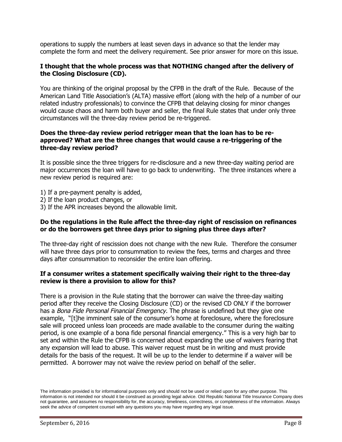operations to supply the numbers at least seven days in advance so that the lender may complete the form and meet the delivery requirement. See prior answer for more on this issue.

#### **I thought that the whole process was that NOTHING changed after the delivery of the Closing Disclosure (CD).**

You are thinking of the original proposal by the CFPB in the draft of the Rule. Because of the American Land Title Association's (ALTA) massive effort (along with the help of a number of our related industry professionals) to convince the CFPB that delaying closing for minor changes would cause chaos and harm both buyer and seller, the final Rule states that under only three circumstances will the three-day review period be re-triggered.

#### **Does the three-day review period retrigger mean that the loan has to be reapproved? What are the three changes that would cause a re-triggering of the three-day review period?**

It is possible since the three triggers for re-disclosure and a new three-day waiting period are major occurrences the loan will have to go back to underwriting. The three instances where a new review period is required are:

- 1) If a pre-payment penalty is added,
- 2) If the loan product changes, or
- 3) If the APR increases beyond the allowable limit.

#### **Do the regulations in the Rule affect the three-day right of rescission on refinances or do the borrowers get three days prior to signing plus three days after?**

The three-day right of rescission does not change with the new Rule. Therefore the consumer will have three days prior to consummation to review the fees, terms and charges and three days after consummation to reconsider the entire loan offering.

## **If a consumer writes a statement specifically waiving their right to the three-day review is there a provision to allow for this?**

There is a provision in the Rule stating that the borrower can waive the three-day waiting period after they receive the Closing Disclosure (CD) or the revised CD ONLY if the borrower has a Bona Fide Personal Financial Emergency. The phrase is undefined but they give one example, "[t]he imminent sale of the consumer's home at foreclosure, where the foreclosure sale will proceed unless loan proceeds are made available to the consumer during the waiting period, is one example of a bona fide personal financial emergency." This is a very high bar to set and within the Rule the CFPB is concerned about expanding the use of waivers fearing that any expansion will lead to abuse. This waiver request must be in writing and must provide details for the basis of the request. It will be up to the lender to determine if a waiver will be permitted. A borrower may not waive the review period on behalf of the seller.

The information provided is for informational purposes only and should not be used or relied upon for any other purpose. This information is not intended nor should it be construed as providing legal advice. Old Republic National Title Insurance Company does not guarantee, and assumes no responsibility for, the accuracy, timeliness, correctness, or completeness of the information. Always seek the advice of competent counsel with any questions you may have regarding any legal issue.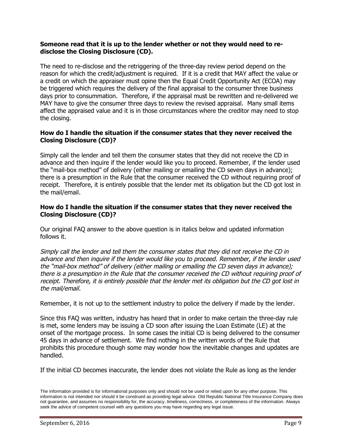### **Someone read that it is up to the lender whether or not they would need to redisclose the Closing Disclosure (CD).**

The need to re-disclose and the retriggering of the three-day review period depend on the reason for which the credit/adjustment is required. If it is a credit that MAY affect the value or a credit on which the appraiser must opine then the Equal Credit Opportunity Act (ECOA) may be triggered which requires the delivery of the final appraisal to the consumer three business days prior to consummation. Therefore, if the appraisal must be rewritten and re-delivered we MAY have to give the consumer three days to review the revised appraisal. Many small items affect the appraised value and it is in those circumstances where the creditor may need to stop the closing.

# **How do I handle the situation if the consumer states that they never received the Closing Disclosure (CD)?**

Simply call the lender and tell them the consumer states that they did not receive the CD in advance and then inquire if the lender would like you to proceed. Remember, if the lender used the "mail-box method" of delivery (either mailing or emailing the CD seven days in advance); there is a presumption in the Rule that the consumer received the CD without requiring proof of receipt. Therefore, it is entirely possible that the lender met its obligation but the CD got lost in the mail/email.

# **How do I handle the situation if the consumer states that they never received the Closing Disclosure (CD)?**

Our original FAQ answer to the above question is in italics below and updated information follows it.

Simply call the lender and tell them the consumer states that they did not receive the CD in advance and then inquire if the lender would like you to proceed. Remember, if the lender used the "mail-box method" of delivery (either mailing or emailing the CD seven days in advance); there is <sup>a</sup> presumption in the Rule that the consumer received the CD without requiring proof of receipt. Therefore, it is entirely possible that the lender met its obligation but the CD got lost in the mail/email.

Remember, it is not up to the settlement industry to police the delivery if made by the lender.

Since this FAQ was written, industry has heard that in order to make certain the three-day rule is met, some lenders may be issuing a CD soon after issuing the Loan Estimate (LE) at the onset of the mortgage process. In some cases the initial CD is being delivered to the consumer 45 days in advance of settlement. We find nothing in the written words of the Rule that prohibits this procedure though some may wonder how the inevitable changes and updates are handled.

If the initial CD becomes inaccurate, the lender does not violate the Rule as long as the lender

The information provided is for informational purposes only and should not be used or relied upon for any other purpose. This information is not intended nor should it be construed as providing legal advice. Old Republic National Title Insurance Company does not guarantee, and assumes no responsibility for, the accuracy, timeliness, correctness, or completeness of the information. Always seek the advice of competent counsel with any questions you may have regarding any legal issue.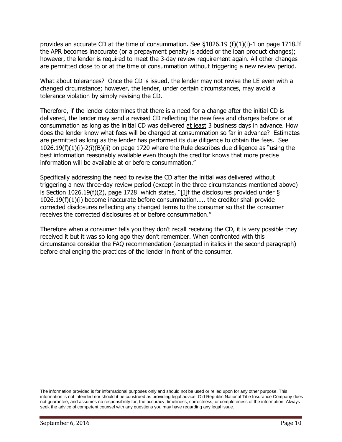provides an accurate CD at the time of consummation. See  $\S 1026.19$  (f)(1)(i)-1 on page 1718.If the APR becomes inaccurate (or a prepayment penalty is added or the loan product changes); however, the lender is required to meet the 3-day review requirement again. All other changes are permitted close to or at the time of consummation without triggering a new review period.

What about tolerances? Once the CD is issued, the lender may not revise the LE even with a changed circumstance; however, the lender, under certain circumstances, may avoid a tolerance violation by simply revising the CD.

Therefore, if the lender determines that there is a need for a change after the initial CD is delivered, the lender may send a revised CD reflecting the new fees and charges before or at consummation as long as the initial CD was delivered at least 3 business days in advance. How does the lender know what fees will be charged at consummation so far in advance? Estimates are permitted as long as the lender has performed its due diligence to obtain the fees. See 1026.19(f)(1)(i)-2(i)(B)(ii) on page 1720 where the Rule describes due diligence as "using the best information reasonably available even though the creditor knows that more precise information will be available at or before consummation."

Specifically addressing the need to revise the CD after the initial was delivered without triggering a new three-day review period (except in the three circumstances mentioned above) is Section 1026.19(f)(2), page 1728 which states, "[I]f the disclosures provided under § 1026.19(f)(1)(i) become inaccurate before consummation….. the creditor shall provide corrected disclosures reflecting any changed terms to the consumer so that the consumer receives the corrected disclosures at or before consummation."

<span id="page-9-0"></span>Therefore when a consumer tells you they don't recall receiving the CD, it is very possible they received it but it was so long ago they don't remember. When confronted with this circumstance consider the FAQ recommendation (excerpted in italics in the second paragraph) before challenging the practices of the lender in front of the consumer.

The information provided is for informational purposes only and should not be used or relied upon for any other purpose. This information is not intended nor should it be construed as providing legal advice. Old Republic National Title Insurance Company does not guarantee, and assumes no responsibility for, the accuracy, timeliness, correctness, or completeness of the information. Always seek the advice of competent counsel with any questions you may have regarding any legal issue.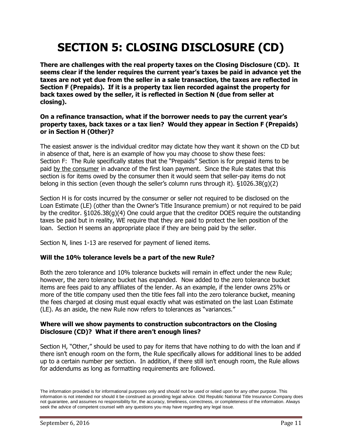# **SECTION 5: CLOSING DISCLOSURE (CD)**

**There are challenges with the real property taxes on the Closing Disclosure (CD). It seems clear if the lender requires the current year's taxes be paid in advance yet the taxes are not yet due from the seller in a sale transaction, the taxes are reflected in Section F (Prepaids). If it is a property tax lien recorded against the property for back taxes owed by the seller, it is reflected in Section N (due from seller at closing).**

# **On a refinance transaction, what if the borrower needs to pay the current year's property taxes, back taxes or a tax lien? Would they appear in Section F (Prepaids) or in Section H (Other)?**

The easiest answer is the individual creditor may dictate how they want it shown on the CD but in absence of that, here is an example of how you may choose to show these fees: Section F: The Rule specifically states that the "Prepaids" Section is for prepaid items to be paid by the consumer in advance of the first loan payment. Since the Rule states that this section is for items owed by the consumer then it would seem that seller-pay items do not belong in this section (even though the seller's column runs through it). §1026.38(g)(2)

Section H is for costs incurred by the consumer or seller not required to be disclosed on the Loan Estimate (LE) (other than the Owner's Title Insurance premium) or not required to be paid by the creditor. §1026.38(g)(4) One could argue that the creditor DOES require the outstanding taxes be paid but in reality, WE require that they are paid to protect the lien position of the loan. Section H seems an appropriate place if they are being paid by the seller.

Section N, lines 1-13 are reserved for payment of liened items.

# **Will the 10% tolerance levels be a part of the new Rule?**

Both the zero tolerance and 10% tolerance buckets will remain in effect under the new Rule; however, the zero tolerance bucket has expanded. Now added to the zero tolerance bucket items are fees paid to any affiliates of the lender. As an example, if the lender owns 25% or more of the title company used then the title fees fall into the zero tolerance bucket, meaning the fees charged at closing must equal exactly what was estimated on the last Loan Estimate (LE). As an aside, the new Rule now refers to tolerances as "variances."

## **Where will we show payments to construction subcontractors on the Closing Disclosure (CD)? What if there aren't enough lines?**

Section H, "Other," should be used to pay for items that have nothing to do with the loan and if there isn't enough room on the form, the Rule specifically allows for additional lines to be added up to a certain number per section. In addition, if there still isn't enough room, the Rule allows for addendums as long as formatting requirements are followed.

The information provided is for informational purposes only and should not be used or relied upon for any other purpose. This information is not intended nor should it be construed as providing legal advice. Old Republic National Title Insurance Company does not guarantee, and assumes no responsibility for, the accuracy, timeliness, correctness, or completeness of the information. Always seek the advice of competent counsel with any questions you may have regarding any legal issue.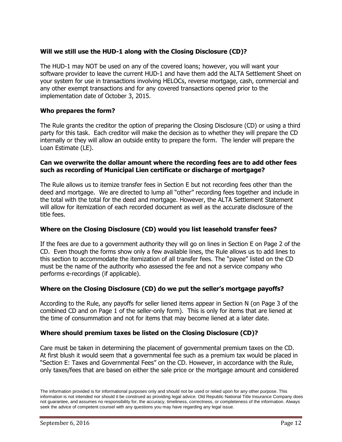# **Will we still use the HUD-1 along with the Closing Disclosure (CD)?**

The HUD-1 may NOT be used on any of the covered loans; however, you will want your software provider to leave the current HUD-1 and have them add the ALTA Settlement Sheet on your system for use in transactions involving HELOCs, reverse mortgage, cash, commercial and any other exempt transactions and for any covered transactions opened prior to the implementation date of October 3, 2015.

## **Who prepares the form?**

The Rule grants the creditor the option of preparing the Closing Disclosure (CD) or using a third party for this task. Each creditor will make the decision as to whether they will prepare the CD internally or they will allow an outside entity to prepare the form. The lender will prepare the Loan Estimate (LE).

## **Can we overwrite the dollar amount where the recording fees are to add other fees such as recording of Municipal Lien certificate or discharge of mortgage?**

The Rule allows us to itemize transfer fees in Section E but not recording fees other than the deed and mortgage. We are directed to lump all "other" recording fees together and include in the total with the total for the deed and mortgage. However, the ALTA Settlement Statement will allow for itemization of each recorded document as well as the accurate disclosure of the title fees.

# **Where on the Closing Disclosure (CD) would you list leasehold transfer fees?**

If the fees are due to a government authority they will go on lines in Section E on Page 2 of the CD. Even though the forms show only a few available lines, the Rule allows us to add lines to this section to accommodate the itemization of all transfer fees. The "payee" listed on the CD must be the name of the authority who assessed the fee and not a service company who performs e-recordings (if applicable).

# **Where on the Closing Disclosure (CD) do we put the seller's mortgage payoffs?**

According to the Rule, any payoffs for seller liened items appear in Section N (on Page 3 of the combined CD and on Page 1 of the seller-only form). This is only for items that are liened at the time of consummation and not for items that may become liened at a later date.

# **Where should premium taxes be listed on the Closing Disclosure (CD)?**

Care must be taken in determining the placement of governmental premium taxes on the CD. At first blush it would seem that a governmental fee such as a premium tax would be placed in "Section E: Taxes and Governmental Fees" on the CD. However, in accordance with the Rule, only taxes/fees that are based on either the sale price or the mortgage amount and considered

The information provided is for informational purposes only and should not be used or relied upon for any other purpose. This information is not intended nor should it be construed as providing legal advice. Old Republic National Title Insurance Company does not guarantee, and assumes no responsibility for, the accuracy, timeliness, correctness, or completeness of the information. Always seek the advice of competent counsel with any questions you may have regarding any legal issue.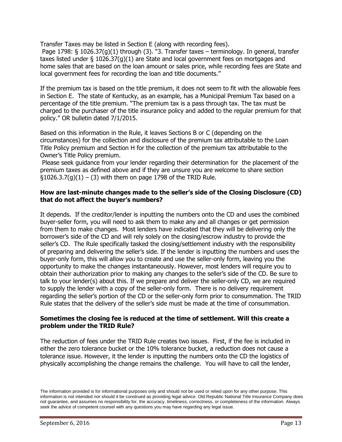Transfer Taxes may be listed in Section E (along with recording fees).

Page 1798: § 1026.37(g)(1) through (3). "3. Transfer taxes – terminology. In general, transfer taxes listed under § 1026.37(g)(1) are State and local government fees on mortgages and home sales that are based on the loan amount or sales price, while recording fees are State and local government fees for recording the loan and title documents."

If the premium tax is based on the title premium, it does not seem to fit with the allowable fees in Section E. The state of Kentucky, as an example, has a Municipal Premium Tax based on a percentage of the title premium. "The premium tax is a pass through tax. The tax must be charged to the purchaser of the title insurance policy and added to the regular premium for that policy." OR bulletin dated 7/1/2015.

Based on this information in the Rule, it leaves Sections B or C (depending on the circumstances) for the collection and disclosure of the premium tax attributable to the Loan Title Policy premium and Section H for the collection of the premium tax attributable to the Owner's Title Policy premium.

Please seek guidance from your lender regarding their determination for the placement of the premium taxes as defined above and if they are unsure you are welcome to share section  $\S 1026.3.7(g)(1) - (3)$  with them on page 1798 of the TRID Rule.

#### **How are last-minute changes made to the seller's side of the Closing Disclosure (CD) that do not affect the buyer's numbers?**

It depends. If the creditor/lender is inputting the numbers onto the CD and uses the combined buyer-seller form, you will need to ask them to make any and all changes or get permission from them to make changes. Most lenders have indicated that they will be delivering only the borrower's side of the CD and will rely solely on the closing/escrow industry to provide the seller's CD. The Rule specifically tasked the closing/settlement industry with the responsibility of preparing and delivering the seller's side. If the lender is inputting the numbers and uses the buyer-only form, this will allow you to create and use the seller-only form, leaving you the opportunity to make the changes instantaneously. However, most lenders will require you to obtain their authorization prior to making any changes to the seller's side of the CD. Be sure to talk to your lender(s) about this. If we prepare and deliver the seller-only CD, we are required to supply the lender with a copy of the seller-only form. There is no delivery requirement regarding the seller's portion of the CD or the seller-only form prior to consummation. The TRID Rule states that the delivery of the seller's side must be made at the time of consummation.

## **Sometimes the closing fee is reduced at the time of settlement. Will this create a problem under the TRID Rule?**

The reduction of fees under the TRID Rule creates two issues. First, if the fee is included in either the zero tolerance bucket or the 10% tolerance bucket, a reduction does not cause a tolerance issue. However, it the lender is inputting the numbers onto the CD the logistics of physically accomplishing the change remains the challenge. You will have to call the lender,

The information provided is for informational purposes only and should not be used or relied upon for any other purpose. This information is not intended nor should it be construed as providing legal advice. Old Republic National Title Insurance Company does not guarantee, and assumes no responsibility for, the accuracy, timeliness, correctness, or completeness of the information. Always seek the advice of competent counsel with any questions you may have regarding any legal issue.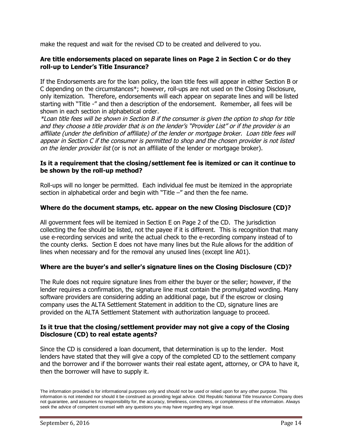make the request and wait for the revised CD to be created and delivered to you.

# **Are title endorsements placed on separate lines on Page 2 in Section C or do they roll-up to Lender's Title Insurance?**

If the Endorsements are for the loan policy, the loan title fees will appear in either Section B or C depending on the circumstances\*; however, roll-ups are not used on the Closing Disclosure, only itemization. Therefore, endorsements will each appear on separate lines and will be listed starting with "Title -" and then a description of the endorsement. Remember, all fees will be shown in each section in alphabetical order.

\*Loan title fees will be shown in Section B if the consumer is given the option to shop for title and they choose <sup>a</sup> title provider that is on the lender's "Provider List" or if the provider is an affiliate (under the definition of affiliate) of the lender or mortgage broker. Loan title fees will appear in Section C if the consumer is permitted to shop and the chosen provider is not listed on the lender provider list (or is not an affiliate of the lender or mortgage broker).

# **Is it a requirement that the closing/settlement fee is itemized or can it continue to be shown by the roll-up method?**

Roll-ups will no longer be permitted. Each individual fee must be itemized in the appropriate section in alphabetical order and begin with "Title -" and then the fee name.

# **Where do the document stamps, etc. appear on the new Closing Disclosure (CD)?**

All government fees will be itemized in Section E on Page 2 of the CD. The jurisdiction collecting the fee should be listed, not the payee if it is different. This is recognition that many use e-recording services and write the actual check to the e-recording company instead of to the county clerks. Section E does not have many lines but the Rule allows for the addition of lines when necessary and for the removal any unused lines (except line A01).

# **Where are the buyer's and seller's signature lines on the Closing Disclosure (CD)?**

The Rule does not require signature lines from either the buyer or the seller; however, if the lender requires a confirmation, the signature line must contain the promulgated wording. Many software providers are considering adding an additional page, but if the escrow or closing company uses the ALTA Settlement Statement in addition to the CD, signature lines are provided on the ALTA Settlement Statement with authorization language to proceed.

## **Is it true that the closing/settlement provider may not give a copy of the Closing Disclosure (CD) to real estate agents?**

Since the CD is considered a loan document, that determination is up to the lender. Most lenders have stated that they will give a copy of the completed CD to the settlement company and the borrower and if the borrower wants their real estate agent, attorney, or CPA to have it, then the borrower will have to supply it.

The information provided is for informational purposes only and should not be used or relied upon for any other purpose. This information is not intended nor should it be construed as providing legal advice. Old Republic National Title Insurance Company does not guarantee, and assumes no responsibility for, the accuracy, timeliness, correctness, or completeness of the information. Always seek the advice of competent counsel with any questions you may have regarding any legal issue.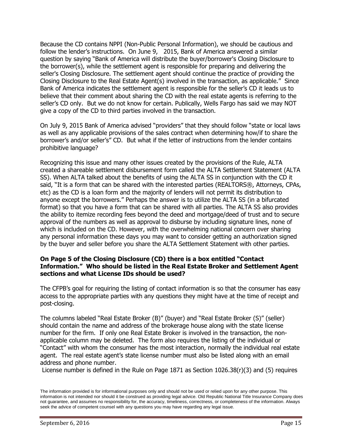Because the CD contains NPPI (Non-Public Personal Information), we should be cautious and follow the lender's instructions. On June 9, 2015, Bank of America answered a similar question by saying "Bank of America will distribute the buyer/borrower's Closing Disclosure to the borrower(s), while the settlement agent is responsible for preparing and delivering the seller's Closing Disclosure. The settlement agent should continue the practice of providing the Closing Disclosure to the Real Estate Agent(s) involved in the transaction, as applicable." Since Bank of America indicates the settlement agent is responsible for the seller's CD it leads us to believe that their comment about sharing the CD with the real estate agents is referring to the seller's CD only. But we do not know for certain. Publically, Wells Fargo has said we may NOT give a copy of the CD to third parties involved in the transaction.

On July 9, 2015 Bank of America advised "providers" that they should follow "state or local laws as well as any applicable provisions of the sales contract when determining how/if to share the borrower's and/or seller's" CD. But what if the letter of instructions from the lender contains prohibitive language?

Recognizing this issue and many other issues created by the provisions of the Rule, ALTA created a shareable settlement disbursement form called the ALTA Settlement Statement (ALTA SS). When ALTA talked about the benefits of using the ALTA SS in conjunction with the CD it said, "It is a form that can be shared with the interested parties (REALTORS®, Attorneys, CPAs, etc) as the CD is a loan form and the majority of lenders will not permit its distribution to anyone except the borrowers." Perhaps the answer is to utilize the ALTA SS (in a bifurcated format) so that you have a form that can be shared with all parties. The ALTA SS also provides the ability to itemize recording fees beyond the deed and mortgage/deed of trust and to secure approval of the numbers as well as approval to disburse by including signature lines, none of which is included on the CD. However, with the overwhelming national concern over sharing any personal information these days you may want to consider getting an authorization signed by the buyer and seller before you share the ALTA Settlement Statement with other parties.

### **On Page 5 of the Closing Disclosure (CD) there is a box entitled "Contact Information." Who should be listed in the Real Estate Broker and Settlement Agent sections and what License IDs should be used?**

The CFPB's goal for requiring the listing of contact information is so that the consumer has easy access to the appropriate parties with any questions they might have at the time of receipt and post-closing.

The columns labeled "Real Estate Broker (B)" (buyer) and "Real Estate Broker (S)" (seller) should contain the name and address of the brokerage house along with the state license number for the firm. If only one Real Estate Broker is involved in the transaction, the nonapplicable column may be deleted. The form also requires the listing of the individual or "Contact" with whom the consumer has the most interaction, normally the individual real estate agent. The real estate agent's state license number must also be listed along with an email address and phone number.

License number is defined in the Rule on Page 1871 as Section 1026.38(r)(3) and (5) requires

The information provided is for informational purposes only and should not be used or relied upon for any other purpose. This information is not intended nor should it be construed as providing legal advice. Old Republic National Title Insurance Company does not guarantee, and assumes no responsibility for, the accuracy, timeliness, correctness, or completeness of the information. Always seek the advice of competent counsel with any questions you may have regarding any legal issue.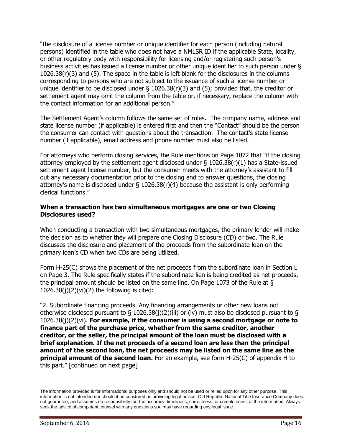"the disclosure of a license number or unique identifier for each person (including natural persons) identified in the table who does not have a NMLSR ID if the applicable State, locality, or other regulatory body with responsibility for licensing and/or registering such person's business activities has issued a license number or other unique identifier to such person under § 1026.38(r)(3) and (5). The space in the table is left blank for the disclosures in the columns corresponding to persons who are not subject to the issuance of such a license number or unique identifier to be disclosed under § 1026.38(r)(3) and (5); provided that, the creditor or settlement agent may omit the column from the table or, if necessary, replace the column with the contact information for an additional person."

The Settlement Agent's column follows the same set of rules. The company name, address and state license number (if applicable) is entered first and then the "Contact" should be the person the consumer can contact with questions about the transaction. The contact's state license number (if applicable), email address and phone number must also be listed.

For attorneys who perform closing services, the Rule mentions on Page 1872 that "if the closing attorney employed by the settlement agent disclosed under § 1026.38(r)(1) has a State-issued settlement agent license number, but the consumer meets with the attorney's assistant to fill out any necessary documentation prior to the closing and to answer questions, the closing attorney's name is disclosed under  $\S$  1026.38(r)(4) because the assistant is only performing clerical functions."

## **When a transaction has two simultaneous mortgages are one or two Closing Disclosures used?**

When conducting a transaction with two simultaneous mortgages, the primary lender will make the decision as to whether they will prepare one Closing Disclosure (CD) or two. The Rule discusses the disclosure and placement of the proceeds from the subordinate loan on the primary loan's CD when two CDs are being utilized.

Form H-25(C) shows the placement of the net proceeds from the subordinate loan in Section L on Page 3. The Rule specifically states if the subordinate lien is being credited as net proceeds, the principal amount should be listed on the same line. On Page 1073 of the Rule at §  $1026.38(i)(2)(vi)(2)$  the following is cited:

"2. Subordinate financing proceeds. Any financing arrangements or other new loans not otherwise disclosed pursuant to § 1026.38(j)(2)(iii) or (iv) must also be disclosed pursuant to § 1026.38(j)(2)(vi). **For example, if the consumer is using a second mortgage or note to finance part of the purchase price, whether from the same creditor, another creditor, or the seller, the principal amount of the loan must be disclosed with a brief explanation. If the net proceeds of a second loan are less than the principal amount of the second loan, the net proceeds may be listed on the same line as the principal amount of the second loan.** For an example, see form H-25(C) of appendix H to this part." [continued on next page]

The information provided is for informational purposes only and should not be used or relied upon for any other purpose. This information is not intended nor should it be construed as providing legal advice. Old Republic National Title Insurance Company does not guarantee, and assumes no responsibility for, the accuracy, timeliness, correctness, or completeness of the information. Always seek the advice of competent counsel with any questions you may have regarding any legal issue.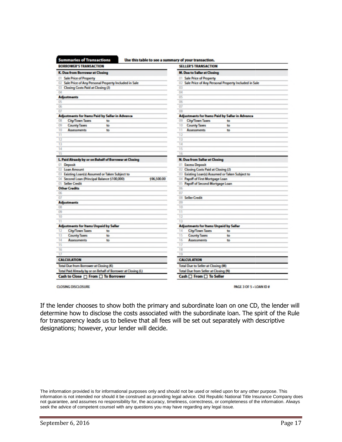| <b>BORROWER'S TRANSACTION</b>                                 | <b>SELLER'S TRANSACTION</b>                             |  |
|---------------------------------------------------------------|---------------------------------------------------------|--|
| K. Due from Borrower at Closing                               | <b>M. Due to Seller at Closing</b>                      |  |
| 01 Sale Price of Property                                     | 01 Sale Price of Property                               |  |
| 02 Sale Price of Any Personal Property Included in Sale       | 02 Sale Price of Any Personal Property Included in Sale |  |
| Closing Costs Paid at Closing (J)<br><b>a</b>                 | 03                                                      |  |
| 04                                                            | 04                                                      |  |
| <b>Adjustments</b>                                            | 05                                                      |  |
| O <sub>5</sub>                                                | 06                                                      |  |
| 06                                                            | 07                                                      |  |
| 07                                                            | O8                                                      |  |
| <b>Adjustments for Itams Paid by Seller in Advance</b>        | Adjustments for Items Paid by Seller in Advance         |  |
| 08<br><b>City/Town Taxes</b><br>to                            | 09<br><b>City/Town Taxes</b><br>to                      |  |
| 09<br><b>County Taxes</b><br>to                               | 10<br><b>County Taxes</b><br>to                         |  |
| 10<br><b>Assessments</b><br>to                                | 11<br><b>Assessments</b><br>to                          |  |
| п                                                             | 12                                                      |  |
| 12                                                            | 13                                                      |  |
| 13                                                            | 14                                                      |  |
| 14                                                            | 15                                                      |  |
| 15                                                            | 16                                                      |  |
| L. Paid Already by or on Behalf of Borrower at Closing        | <b>N. Due from Seller at Closing</b>                    |  |
| 01 Deposit                                                    | 01 Excess Deposit                                       |  |
| 02 Loan Amount                                                | 02 Closing Costs Paid at Closing (J)                    |  |
| 03 Existing Loan(s) Assumed or Taken Subject to               | 03 Existing Loan(s) Assumed or Taken Subject to         |  |
| 04 Second Loan (Principal Balance \$100,000)<br>\$96,500.00   | 04 Payoff of First Mortgage Loan                        |  |
| 05 Seller Credit                                              | 05<br>Payoff of Second Mortgage Loan                    |  |
| <b>Other Credits</b>                                          | 06                                                      |  |
| 06                                                            | 07                                                      |  |
| 07                                                            | <b>Seller Credit</b><br>06                              |  |
| <b>Adjustments</b>                                            | 09                                                      |  |
| 08                                                            | 10                                                      |  |
| 09                                                            | $\overline{11}$                                         |  |
| 10                                                            | 12                                                      |  |
| Ħ                                                             | 13                                                      |  |
| <b>Adjustments for Items Unpaid by Seller</b>                 | <b>Adjustments for Items Unpaid by Seller</b>           |  |
| <b>City/Town Taxes</b><br>12<br>to                            | <b>City/Town Taxes</b><br>14<br>to                      |  |
| 13<br><b>County Taxes</b><br>to                               | 15<br><b>County Taxes</b><br>to                         |  |
| 14<br><b>Assessments</b><br>to                                | 16<br><b>Assessments</b><br>to                          |  |
| 15                                                            | 17                                                      |  |
| 16                                                            | 18                                                      |  |
| $\overline{17}$                                               | 19                                                      |  |
| <b>CALCULATION</b>                                            | <b>CALCULATION</b>                                      |  |
| Total Due from Borrower at Closing (K)                        | Total Due to Seller at Closing (M)                      |  |
| Total Paid Already by or on Behalf of Borrower at Closing (L) | Total Due from Seller at Closing (N)                    |  |
| Cash to Close □ From □ To Borrower                            | Cash □ From □ To Seller                                 |  |

**CLOSING DISCLOSURE** 

PAGE 3 OF 5 - LOAN ID #

If the lender chooses to show both the primary and subordinate loan on one CD, the lende lender will determine how to disclose the costs associated with the subordinate loan. The spirit of the Rule for transparency leads us to believe that all fees will be set out separately with descriptive designations; however, your lender will decide. the lender chooses to show both the primary and subordinate loan on one CD, t<br>termine how to disclose the costs associated with the subordinate loan. The spin<br>transparency leads us to believe that all fees will be set out

The information provided is for informational purposes only and should not be used or relied upon for any other purpose. This The information provided is for informational purposes only and should not be used or relied upon for any other purpose. This<br>information is not intended nor should it be construed as providing legal advice. Old Republic N not guarantee, and assumes no responsibility for, the accuracy, timeliness, correctness, or completeness of the information. Always seek the advice of competent counsel with any questions you may have regarding any legal issue.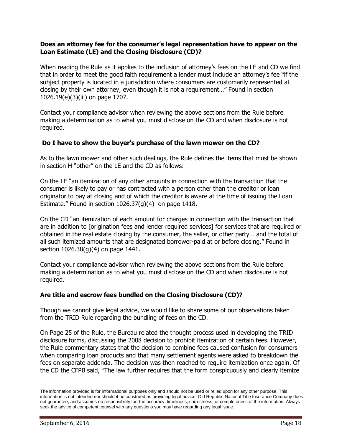# **Does an attorney fee for the consumer's legal representation have to appear on the Loan Estimate (LE) and the Closing Disclosure (CD)?**

When reading the Rule as it applies to the inclusion of attorney's fees on the LE and CD we find that in order to meet the good faith requirement a lender must include an attorney's fee "if the subject property is located in a jurisdiction where consumers are customarily represented at closing by their own attorney, even though it is not a requirement…" Found in section 1026.19(e)(3)(iii) on page 1707.

Contact your compliance advisor when reviewing the above sections from the Rule before making a determination as to what you must disclose on the CD and when disclosure is not required.

## **Do I have to show the buyer's purchase of the lawn mower on the CD?**

As to the lawn mower and other such dealings, the Rule defines the items that must be shown in section H "other" on the LE and the CD as follows:

On the LE "an itemization of any other amounts in connection with the transaction that the consumer is likely to pay or has contracted with a person other than the creditor or loan originator to pay at closing and of which the creditor is aware at the time of issuing the Loan Estimate." Found in section 1026.37(g)(4) on page 1418.

On the CD "an itemization of each amount for charges in connection with the transaction that are in addition to [origination fees and lender required services] for services that are required or obtained in the real estate closing by the consumer, the seller, or other party… and the total of all such itemized amounts that are designated borrower-paid at or before closing." Found in section 1026.38(g)(4) on page 1441.

Contact your compliance advisor when reviewing the above sections from the Rule before making a determination as to what you must disclose on the CD and when disclosure is not required.

# **Are title and escrow fees bundled on the Closing Disclosure (CD)?**

Though we cannot give legal advice, we would like to share some of our observations taken from the TRID Rule regarding the bundling of fees on the CD.

On Page 25 of the Rule, the Bureau related the thought process used in developing the TRID disclosure forms, discussing the 2008 decision to prohibit itemization of certain fees. However, the Rule commentary states that the decision to combine fees caused confusion for consumers when comparing loan products and that many settlement agents were asked to breakdown the fees on separate addenda. The decision was then reached to require itemization once again. Of the CD the CFPB said, "The law further requires that the form conspicuously and clearly itemize

The information provided is for informational purposes only and should not be used or relied upon for any other purpose. This information is not intended nor should it be construed as providing legal advice. Old Republic National Title Insurance Company does not guarantee, and assumes no responsibility for, the accuracy, timeliness, correctness, or completeness of the information. Always seek the advice of competent counsel with any questions you may have regarding any legal issue.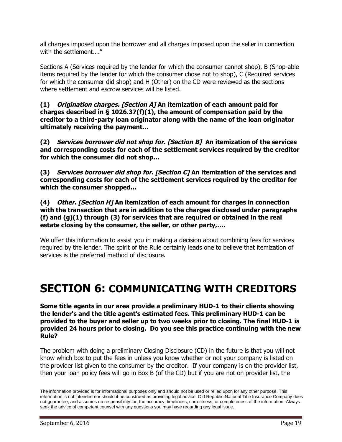all charges imposed upon the borrower and all charges imposed upon the seller in connection with the settlement…."

Sections A (Services required by the lender for which the consumer cannot shop), B (Shop-able items required by the lender for which the consumer chose not to shop), C (Required services for which the consumer did shop) and H (Other) on the CD were reviewed as the sections where settlement and escrow services will be listed.

**(1) Origination charges. [Section A] An itemization of each amount paid for charges described in § 1026.37(f)(1), the amount of compensation paid by the creditor to a third-party loan originator along with the name of the loan originator ultimately receiving the payment…**

**(2) Services borrower did not shop for. [Section B] An itemization of the services and corresponding costs for each of the settlement services required by the creditor for which the consumer did not shop…**

**(3) Services borrower did shop for. [Section C] An itemization of the services and corresponding costs for each of the settlement services required by the creditor for which the consumer shopped…**

**(4) Other. [Section H] An itemization of each amount for charges in connection with the transaction that are in addition to the charges disclosed under paragraphs (f) and (g)(1) through (3) for services that are required or obtained in the real estate closing by the consumer, the seller, or other party,….**

We offer this information to assist you in making a decision about combining fees for services required by the lender. The spirit of the Rule certainly leads one to believe that itemization of services is the preferred method of disclosure.

# <span id="page-18-0"></span>**SECTION 6: COMMUNICATING WITH CREDITORS**

**Some title agents in our area provide a preliminary HUD-1 to their clients showing the lender's and the title agent's estimated fees. This preliminary HUD-1 can be provided to the buyer and seller up to two weeks prior to closing. The final HUD-1 is provided 24 hours prior to closing. Do you see this practice continuing with the new Rule?**

The problem with doing a preliminary Closing Disclosure (CD) in the future is that you will not know which box to put the fees in unless you know whether or not your company is listed on the provider list given to the consumer by the creditor. If your company is on the provider list, then your loan policy fees will go in Box B (of the CD) but if you are not on provider list, the

The information provided is for informational purposes only and should not be used or relied upon for any other purpose. This information is not intended nor should it be construed as providing legal advice. Old Republic National Title Insurance Company does not guarantee, and assumes no responsibility for, the accuracy, timeliness, correctness, or completeness of the information. Always seek the advice of competent counsel with any questions you may have regarding any legal issue.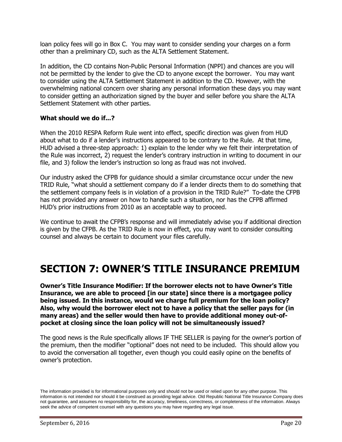loan policy fees will go in Box C. You may want to consider sending your charges on a form other than a preliminary CD, such as the ALTA Settlement Statement.

In addition, the CD contains Non-Public Personal Information (NPPI) and chances are you will not be permitted by the lender to give the CD to anyone except the borrower. You may want to consider using the ALTA Settlement Statement in addition to the CD. However, with the overwhelming national concern over sharing any personal information these days you may want to consider getting an authorization signed by the buyer and seller before you share the ALTA Settlement Statement with other parties.

## <span id="page-19-0"></span>**What should we do if...?**

When the 2010 RESPA Reform Rule went into effect, specific direction was given from HUD about what to do if a lender's instructions appeared to be contrary to the Rule. At that time, HUD advised a three-step approach: 1) explain to the lender why we felt their interpretation of the Rule was incorrect, 2) request the lender's contrary instruction in writing to document in our file, and 3) follow the lender's instruction so long as fraud was not involved.

Our industry asked the CFPB for guidance should a similar circumstance occur under the new TRID Rule, "what should a settlement company do if a lender directs them to do something that the settlement company feels is in violation of a provision in the TRID Rule?" To-date the CFPB has not provided any answer on how to handle such a situation, nor has the CFPB affirmed HUD's prior instructions from 2010 as an acceptable way to proceed.

We continue to await the CFPB's response and will immediately advise you if additional direction is given by the CFPB. As the TRID Rule is now in effect, you may want to consider consulting counsel and always be certain to document your files carefully.

# **SECTION 7: OWNER'S TITLE INSURANCE PREMIUM**

**Owner's Title Insurance Modifier: If the borrower elects not to have Owner's Title Insurance, we are able to proceed [in our state] since there is a mortgagee policy being issued. In this instance, would we charge full premium for the loan policy? Also, why would the borrower elect not to have a policy that the seller pays for (in many areas) and the seller would then have to provide additional money out-ofpocket at closing since the loan policy will not be simultaneously issued?**

The good news is the Rule specifically allows IF THE SELLER is paying for the owner's portion of the premium, then the modifier "optional" does not need to be included. This should allow you to avoid the conversation all together, even though you could easily opine on the benefits of owner's protection.

The information provided is for informational purposes only and should not be used or relied upon for any other purpose. This information is not intended nor should it be construed as providing legal advice. Old Republic National Title Insurance Company does not guarantee, and assumes no responsibility for, the accuracy, timeliness, correctness, or completeness of the information. Always seek the advice of competent counsel with any questions you may have regarding any legal issue.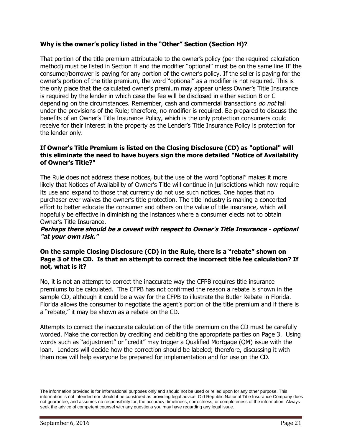# **Why is the owner's policy listed in the "Other" Section (Section H)?**

That portion of the title premium attributable to the owner's policy (per the required calculation method) must be listed in Section H and the modifier "optional" must be on the same line IF the consumer/borrower is paying for any portion of the owner's policy. If the seller is paying for the owner's portion of the title premium, the word "optional" as a modifier is not required. This is the only place that the calculated owner's premium may appear unless Owner's Title Insurance is required by the lender in which case the fee will be disclosed in either section B or C depending on the circumstances. Remember, cash and commercial transactions do not fall under the provisions of the Rule; therefore, no modifier is required. Be prepared to discuss the benefits of an Owner's Title Insurance Policy, which is the only protection consumers could receive for their interest in the property as the Lender's Title Insurance Policy is protection for the lender only.

## **If Owner's Title Premium is listed on the Closing Disclosure (CD) as "optional" will this eliminate the need to have buyers sign the more detailed "Notice of Availability of Owner's Title?"**

The Rule does not address these notices, but the use of the word "optional" makes it more likely that Notices of Availability of Owner's Title will continue in jurisdictions which now require its use and expand to those that currently do not use such notices. One hopes that no purchaser ever waives the owner's title protection. The title industry is making a concerted effort to better educate the consumer and others on the value of title insurance, which will hopefully be effective in diminishing the instances where a consumer elects not to obtain Owner's Title Insurance.

## Perhaps there should be a caveat with respect to Owner's Title Insurance - optional **"at your own risk."**

# **On the sample Closing Disclosure (CD) in the Rule, there is a "rebate" shown on Page 3 of the CD. Is that an attempt to correct the incorrect title fee calculation? If not, what is it?**

No, it is not an attempt to correct the inaccurate way the CFPB requires title insurance premiums to be calculated. The CFPB has not confirmed the reason a rebate is shown in the sample CD, although it could be a way for the CFPB to illustrate the Butler Rebate in Florida. Florida allows the consumer to negotiate the agent's portion of the title premium and if there is a "rebate," it may be shown as a rebate on the CD.

Attempts to correct the inaccurate calculation of the title premium on the CD must be carefully worded. Make the correction by crediting and debiting the appropriate parties on Page 3. Using words such as "adjustment" or "credit" may trigger a Qualified Mortgage (QM) issue with the loan. Lenders will decide how the correction should be labeled; therefore, discussing it with them now will help everyone be prepared for implementation and for use on the CD.

The information provided is for informational purposes only and should not be used or relied upon for any other purpose. This information is not intended nor should it be construed as providing legal advice. Old Republic National Title Insurance Company does not guarantee, and assumes no responsibility for, the accuracy, timeliness, correctness, or completeness of the information. Always seek the advice of competent counsel with any questions you may have regarding any legal issue.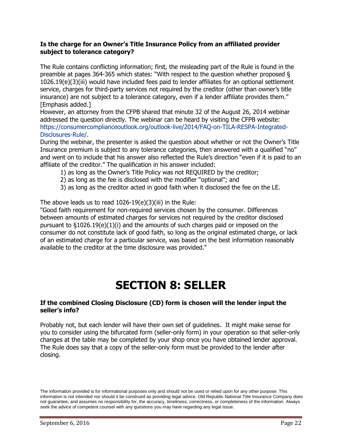# **Is the charge for an Owner's Title Insurance Policy from an affiliated provider subject to tolerance category?**

The Rule contains conflicting information; first, the misleading part of the Rule is found in the preamble at pages 364-365 which states: "With respect to the question whether proposed § 1026.19(e)(3)(iii) would have included fees paid to lender affiliates for an optional settlement service, charges for third-party services not required by the creditor (other than owner's title insurance) are not subject to a tolerance category, even if a lender affiliate provides them." [Emphasis added.]

However, an attorney from the CFPB shared that minute 32 of the August 26, 2014 webinar addressed the question directly. The webinar can be heard by visiting the CFPB website: [https://consumercomplianceoutlook.org/outlook-live/2014/FAQ-on-TILA-RESPA-Integrated-](https://consumercomplianceoutlook.org/outlook-live/2014/FAQ-on-TILA-RESPA-Integrated-Disclosures-Rule/?elqTrackId=F89E9817EAF554A8857DCC407285C614&elq=e3d841d070ab4f13a238dfaa52f44ea7&elqCampaignId=1513&elqaid=4243&elqat=1)[Disclosures-Rule/.](https://consumercomplianceoutlook.org/outlook-live/2014/FAQ-on-TILA-RESPA-Integrated-Disclosures-Rule/?elqTrackId=F89E9817EAF554A8857DCC407285C614&elq=e3d841d070ab4f13a238dfaa52f44ea7&elqCampaignId=1513&elqaid=4243&elqat=1)

During the webinar, the presenter is asked the question about whether or not the Owner's Title Insurance premium is subject to any tolerance categories, then answered with a qualified "no" and went on to include that his answer also reflected the Rule's direction "even if it is paid to an affiliate of the creditor." The qualification in his answer included:

- 1) as long as the Owner's Title Policy was not REQUIRED by the creditor;
- 2) as long as the fee is disclosed with the modifier "optional"; and
- 3) as long as the creditor acted in good faith when it disclosed the fee on the LE.

The above leads us to read  $1026-19(e)(3)(iii)$  in the Rule:

"Good faith requirement for non-required services chosen by the consumer. Differences between amounts of estimated charges for services not required by the creditor disclosed pursuant to §1026.19(e)(1)(i) and the amounts of such charges paid or imposed on the consumer do not constitute lack of good faith, so long as the original estimated charge, or lack of an estimated charge for a particular service, was based on the best information reasonably available to the creditor at the time disclosure was provided."

# <span id="page-21-0"></span>**SECTION 8: SELLER**

#### **If the combined Closing Disclosure (CD) form is chosen will the lender input the seller's info?**

Probably not, but each lender will have their own set of guidelines. It might make sense for you to consider using the bifurcated form (seller-only form) in your operation so that seller-only changes at the table may be completed by your shop once you have obtained lender approval. The Rule does say that a copy of the seller-only form must be provided to the lender after closing.

The information provided is for informational purposes only and should not be used or relied upon for any other purpose. This information is not intended nor should it be construed as providing legal advice. Old Republic National Title Insurance Company does not guarantee, and assumes no responsibility for, the accuracy, timeliness, correctness, or completeness of the information. Always seek the advice of competent counsel with any questions you may have regarding any legal issue.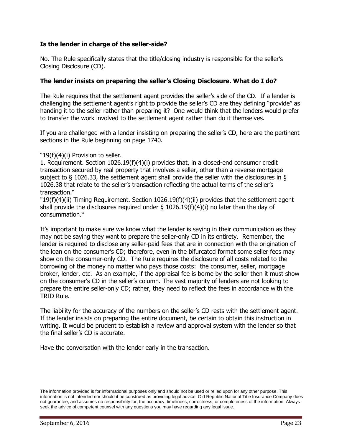# **Is the lender in charge of the seller-side?**

No. The Rule specifically states that the title/closing industry is responsible for the seller's Closing Disclosure (CD).

#### **The lender insists on preparing the seller's Closing Disclosure. What do I do?**

The Rule requires that the settlement agent provides the seller's side of the CD. If a lender is challenging the settlement agent's right to provide the seller's CD are they defining "provide" as handing it to the seller rather than preparing it? One would think that the lenders would prefer to transfer the work involved to the settlement agent rather than do it themselves.

If you are challenged with a lender insisting on preparing the seller's CD, here are the pertinent sections in the Rule beginning on page 1740.

#### "19(f)(4)(i) Provision to seller.

1. Requirement. Section 1026.19(f)(4)(i) provides that, in a closed-end consumer credit transaction secured by real property that involves a seller, other than a reverse mortgage subject to § 1026.33, the settlement agent shall provide the seller with the disclosures in § 1026.38 that relate to the seller's transaction reflecting the actual terms of the seller's transaction."

"19(f)(4)(ii) Timing Requirement. Section 1026.19(f)(4)(ii) provides that the settlement agent shall provide the disclosures required under  $\S$  1026.19(f)(4)(i) no later than the day of consummation."

It's important to make sure we know what the lender is saying in their communication as they may not be saying they want to prepare the seller-only CD in its entirety. Remember, the lender is required to disclose any seller-paid fees that are in connection with the origination of the loan on the consumer's CD; therefore, even in the bifurcated format some seller fees may show on the consumer-only CD. The Rule requires the disclosure of all costs related to the borrowing of the money no matter who pays those costs: the consumer, seller, mortgage broker, lender, etc. As an example, if the appraisal fee is borne by the seller then it must show on the consumer's CD in the seller's column. The vast majority of lenders are not looking to prepare the entire seller-only CD; rather, they need to reflect the fees in accordance with the TRID Rule.

The liability for the accuracy of the numbers on the seller's CD rests with the settlement agent. If the lender insists on preparing the entire document, be certain to obtain this instruction in writing. It would be prudent to establish a review and approval system with the lender so that the final seller's CD is accurate.

Have the conversation with the lender early in the transaction.

The information provided is for informational purposes only and should not be used or relied upon for any other purpose. This information is not intended nor should it be construed as providing legal advice. Old Republic National Title Insurance Company does not guarantee, and assumes no responsibility for, the accuracy, timeliness, correctness, or completeness of the information. Always seek the advice of competent counsel with any questions you may have regarding any legal issue.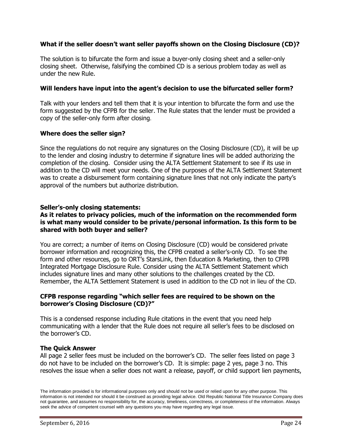# **What if the seller doesn't want seller payoffs shown on the Closing Disclosure (CD)?**

The solution is to bifurcate the form and issue a buyer-only closing sheet and a seller-only closing sheet. Otherwise, falsifying the combined CD is a serious problem today as well as under the new Rule.

## **Will lenders have input into the agent's decision to use the bifurcated seller form?**

Talk with your lenders and tell them that it is your intention to bifurcate the form and use the form suggested by the CFPB for the seller. The Rule states that the lender must be provided a copy of the seller-only form after closing.

#### **Where does the seller sign?**

Since the regulations do not require any signatures on the Closing Disclosure (CD), it will be up to the lender and closing industry to determine if signature lines will be added authorizing the completion of the closing. Consider using the ALTA Settlement Statement to see if its use in addition to the CD will meet your needs. One of the purposes of the ALTA Settlement Statement was to create a disbursement form containing signature lines that not only indicate the party's approval of the numbers but authorize distribution.

## **Seller's-only closing statements:**

#### **As it relates to privacy policies, much of the information on the recommended form is what many would consider to be private/personal information. Is this form to be shared with both buyer and seller?**

You are correct; a number of items on Closing Disclosure (CD) would be considered private borrower information and recognizing this, the CFPB created a seller's-only CD. To see the form and other resources, go to ORT's StarsLink, then Education & Marketing, then to CFPB Integrated Mortgage Disclosure Rule. Consider using the ALTA Settlement Statement which includes signature lines and many other solutions to the challenges created by the CD. Remember, the ALTA Settlement Statement is used in addition to the CD not in lieu of the CD.

#### <span id="page-23-0"></span>**CFPB response regarding "which seller fees are required to be shown on the borrower's Closing Disclosure (CD)?"**

This is a condensed response including Rule citations in the event that you need help communicating with a lender that the Rule does not require all seller's fees to be disclosed on the borrower's CD.

#### **The Quick Answer**

All page 2 seller fees must be included on the borrower's CD. The seller fees listed on page 3 do not have to be included on the borrower's CD. It is simple: page 2 yes, page 3 no. This resolves the issue when a seller does not want a release, payoff, or child support lien payments,

The information provided is for informational purposes only and should not be used or relied upon for any other purpose. This information is not intended nor should it be construed as providing legal advice. Old Republic National Title Insurance Company does not guarantee, and assumes no responsibility for, the accuracy, timeliness, correctness, or completeness of the information. Always seek the advice of competent counsel with any questions you may have regarding any legal issue.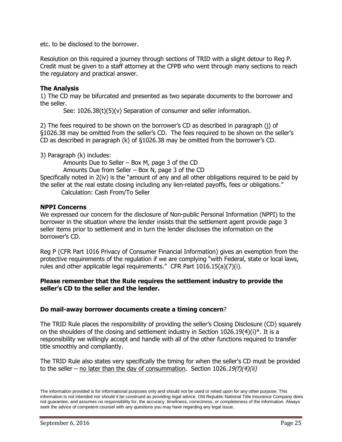etc. to be disclosed to the borrower.

Resolution on this required a journey through sections of TRID with a slight detour to Reg P. Credit must be given to a staff attorney at the CFPB who went through many sections to reach the regulatory and practical answer.

# **The Analysis**

1) The CD may be bifurcated and presented as two separate documents to the borrower and the seller.

See: 1026.38(t)(5)(v) Separation of consumer and seller information.

2) The fees required to be shown on the borrower's CD as described in paragraph (j) of §1026.38 may be omitted from the seller's CD. The fees required to be shown on the seller's CD as described in paragraph (k) of §1026.38 may be omitted from the borrower's CD.

3) Paragraph (k) includes:

Amounts Due to Seller – Box M, page 3 of the CD

Amounts Due from Seller – Box N, page 3 of the CD

Specifically noted in 2(iv) is the "amount of any and all other obligations required to be paid by the seller at the real estate closing including any lien-related payoffs, fees or obligations."

Calculation: Cash From/To Seller

# **NPPI Concerns**

We expressed our concern for the disclosure of Non-public Personal Information (NPPI) to the borrower in the situation where the lender insists that the settlement agent provide page 3 seller items prior to settlement and in turn the lender discloses the information on the borrower's CD.

Reg P (CFR Part 1016 Privacy of Consumer Financial Information) gives an exemption from the protective requirements of the regulation if we are complying "with Federal, state or local laws, rules and other applicable legal requirements." CFR Part 1016.15(a)(7)(i).

## **Please remember that the Rule requires the settlement industry to provide the seller's CD to the seller and the lender.**

# **Do mail-away borrower documents create a timing concern**?

The TRID Rule places the responsibility of providing the seller's Closing Disclosure (CD) squarely on the shoulders of the closing and settlement industry in Section 1026.19(4)(i)\*. It is a responsibility we willingly accept and handle with all of the other functions required to transfer title smoothly and compliantly.

The TRID Rule also states very specifically the timing for when the seller's CD must be provided to the seller – no later than the day of consummation. Section  $1026.19(f)(4)(ii)$ 

The information provided is for informational purposes only and should not be used or relied upon for any other purpose. This information is not intended nor should it be construed as providing legal advice. Old Republic National Title Insurance Company does not guarantee, and assumes no responsibility for, the accuracy, timeliness, correctness, or completeness of the information. Always seek the advice of competent counsel with any questions you may have regarding any legal issue.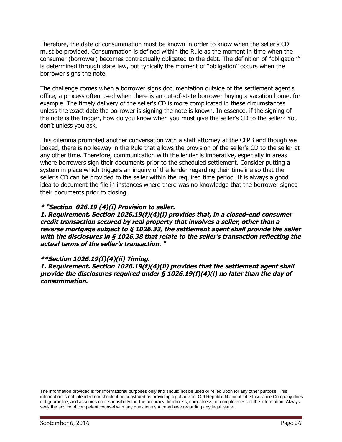Therefore, the date of consummation must be known in order to know when the seller's CD must be provided. Consummation is defined within the Rule as the moment in time when the consumer (borrower) becomes contractually obligated to the debt. The definition of "obligation" is determined through state law, but typically the moment of "obligation" occurs when the borrower signs the note.

The challenge comes when a borrower signs documentation outside of the settlement agent's office, a process often used when there is an out-of-state borrower buying a vacation home, for example. The timely delivery of the seller's CD is more complicated in these circumstances unless the exact date the borrower is signing the note is known. In essence, if the signing of the note is the trigger, how do you know when you must give the seller's CD to the seller? You don't unless you ask.

This dilemma prompted another conversation with a staff attorney at the CFPB and though we looked, there is no leeway in the Rule that allows the provision of the seller's CD to the seller at any other time. Therefore, communication with the lender is imperative, especially in areas where borrowers sign their documents prior to the scheduled settlement. Consider putting a system in place which triggers an inquiry of the lender regarding their timeline so that the seller's CD can be provided to the seller within the required time period. It is always a good idea to document the file in instances where there was no knowledge that the borrower signed their documents prior to closing.

#### **\* "Section 026.19 (4)(i) Provision to seller.**

**1. Requirement. Section 1026.19(f)(4)(i) provides that, in <sup>a</sup> closed-end consumer** credit transaction secured by real property that involves a seller, other than a reverse mortgage subject to  $\S$  1026.33, the settlement agent shall provide the seller with the disclosures in § 1026.38 that relate to the seller's transaction reflecting the **actual terms of the seller's transaction. "**

#### **\*\*Section 1026.19(f)(4)(ii) Timing.**

**1. Requirement. Section 1026.19(f)(4)(ii) provides that the settlement agent shall** provide the disclosures required under  $\S$  1026.19(f)(4)(i) no later than the day of **consummation.**

The information provided is for informational purposes only and should not be used or relied upon for any other purpose. This information is not intended nor should it be construed as providing legal advice. Old Republic National Title Insurance Company does not guarantee, and assumes no responsibility for, the accuracy, timeliness, correctness, or completeness of the information. Always seek the advice of competent counsel with any questions you may have regarding any legal issue.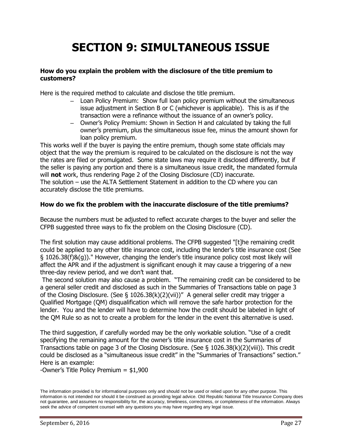# **SECTION 9: SIMULTANEOUS ISSUE**

### **How do you explain the problem with the disclosure of the title premium to customers?**

Here is the required method to calculate and disclose the title premium.

- Loan Policy Premium: Show full loan policy premium without the simultaneous issue adjustment in Section B or C (whichever is applicable). This is as if the transaction were a refinance without the issuance of an owner's policy.
- Owner's Policy Premium: Shown in Section H and calculated by taking the full owner's premium, plus the simultaneous issue fee, minus the amount shown for loan policy premium.

This works well if the buyer is paying the entire premium, though some state officials may object that the way the premium is required to be calculated on the disclosure is not the way the rates are filed or promulgated. Some state laws may require it disclosed differently, but if the seller is paying any portion and there is a simultaneous issue credit, the mandated formula will **not** work, thus rendering Page 2 of the Closing Disclosure (CD) inaccurate. The solution – use the ALTA Settlement Statement in addition to the CD where you can accurately disclose the title premiums.

## **How do we fix the problem with the inaccurate disclosure of the title premiums?**

Because the numbers must be adjusted to reflect accurate charges to the buyer and seller the CFPB suggested three ways to fix the problem on the Closing Disclosure (CD).

The first solution may cause additional problems. The CFPB suggested "[t]he remaining credit could be applied to any other title insurance cost, including the lender's title insurance cost (See § 1026.38(f)&(g))." However, changing the lender's title insurance policy cost most likely will affect the APR and if the adjustment is significant enough it may cause a triggering of a new three-day review period, and we don't want that.

The second solution may also cause a problem. "The remaining credit can be considered to be a general seller credit and disclosed as such in the Summaries of Transactions table on page 3 of the Closing Disclosure. (See § 1026.38(k)(2)(vii))" A general seller credit may trigger a Qualified Mortgage (QM) disqualification which will remove the safe harbor protection for the lender. You and the lender will have to determine how the credit should be labeled in light of the QM Rule so as not to create a problem for the lender in the event this alternative is used.

The third suggestion, if carefully worded may be the only workable solution. "Use of a credit specifying the remaining amount for the owner's title insurance cost in the Summaries of Transactions table on page 3 of the Closing Disclosure. (See § 1026.38(k)(2)(viii)). This credit could be disclosed as a "simultaneous issue credit" in the "Summaries of Transactions" section." Here is an example:

-Owner's Title Policy Premium = \$1,900

The information provided is for informational purposes only and should not be used or relied upon for any other purpose. This information is not intended nor should it be construed as providing legal advice. Old Republic National Title Insurance Company does not guarantee, and assumes no responsibility for, the accuracy, timeliness, correctness, or completeness of the information. Always seek the advice of competent counsel with any questions you may have regarding any legal issue.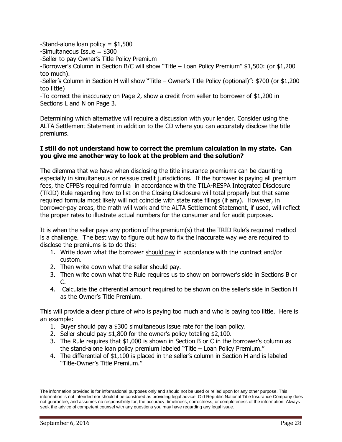-Stand-alone loan policy  $=$  \$1,500

-Simultaneous Issue = \$300

-Seller to pay Owner's Title Policy Premium

-Borrower's Column in Section B/C will show "Title – Loan Policy Premium" \$1,500: (or \$1,200 too much).

-Seller's Column in Section H will show "Title – Owner's Title Policy (optional)": \$700 (or \$1,200 too little)

-To correct the inaccuracy on Page 2, show a credit from seller to borrower of \$1,200 in Sections L and N on Page 3.

Determining which alternative will require a discussion with your lender. Consider using the ALTA Settlement Statement in addition to the CD where you can accurately disclose the title premiums.

# **I still do not understand how to correct the premium calculation in my state. Can you give me another way to look at the problem and the solution?**

The dilemma that we have when disclosing the title insurance premiums can be daunting especially in simultaneous or reissue credit jurisdictions. If the borrower is paying all premium fees, the CFPB's required formula in accordance with the TILA-RESPA Integrated Disclosure (TRID) Rule regarding how to list on the Closing Disclosure will total properly but that same required formula most likely will not coincide with state rate filings (if any). However, in borrower-pay areas, the math will work and the ALTA Settlement Statement, if used, will reflect the proper rates to illustrate actual numbers for the consumer and for audit purposes.

It is when the seller pays any portion of the premium(s) that the TRID Rule's required method is a challenge. The best way to figure out how to fix the inaccurate way we are required to disclose the premiums is to do this:

- 1. Write down what the borrower should pay in accordance with the contract and/or custom.
- 2. Then write down what the seller should pay.
- 3. Then write down what the Rule requires us to show on borrower's side in Sections B or  $\subset$
- 4. Calculate the differential amount required to be shown on the seller's side in Section H as the Owner's Title Premium.

This will provide a clear picture of who is paying too much and who is paying too little. Here is an example:

- 1. Buyer should pay a \$300 simultaneous issue rate for the loan policy.
- 2. Seller should pay \$1,800 for the owner's policy totaling \$2,100.
- 3. The Rule requires that \$1,000 is shown in Section B or C in the borrower's column as the stand-alone loan policy premium labeled "Title – Loan Policy Premium."
- 4. The differential of \$1,100 is placed in the seller's column in Section H and is labeled "Title-Owner's Title Premium."

The information provided is for informational purposes only and should not be used or relied upon for any other purpose. This information is not intended nor should it be construed as providing legal advice. Old Republic National Title Insurance Company does not guarantee, and assumes no responsibility for, the accuracy, timeliness, correctness, or completeness of the information. Always seek the advice of competent counsel with any questions you may have regarding any legal issue.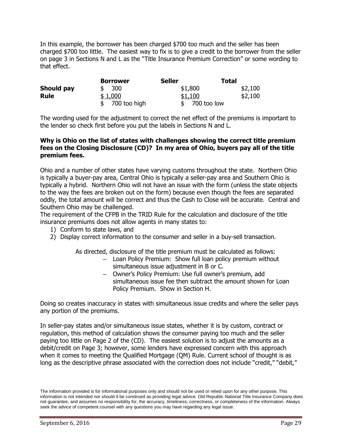In this example, the borrower has been charged \$700 too much and the seller has been charged \$700 too little. The easiest way to fix is to give a credit to the borrower from the seller on page 3 in Sections N and L as the "Title Insurance Premium Correction" or some wording to that effect.

|             | <b>Borrower</b> | <b>Seller</b> | Total   |
|-------------|-----------------|---------------|---------|
| Should pay  | \$300           | \$1,800       | \$2,100 |
| <b>Rule</b> | \$1,000         | \$1,100       | \$2,100 |
|             | 700 too high    | 700 too low   |         |

The wording used for the adjustment to correct the net effect of the premiums is important to the lender so check first before you put the labels in Sections N and L.

### **Why is Ohio on the list of states with challenges showing the correct title premium fees on the Closing Disclosure (CD)? In my area of Ohio, buyers pay all of the title premium fees.**

Ohio and a number of other states have varying customs throughout the state. Northern Ohio is typically a buyer-pay area, Central Ohio is typically a seller-pay area and Southern Ohio is typically a hybrid. Northern Ohio will not have an issue with the form (unless the state objects to the way the fees are broken out on the form) because even though the fees are separated oddly, the total amount will be correct and thus the Cash to Close will be accurate. Central and Southern Ohio may be challenged.

The requirement of the CFPB in the TRID Rule for the calculation and disclosure of the title insurance premiums does not allow agents in many states to:

- 1) Conform to state laws, and
- 2) Display correct information to the consumer and seller in a buy-sell transaction.

As directed, disclosure of the title premium must be calculated as follows:

- Loan Policy Premium: Show full loan policy premium without simultaneous issue adjustment in B or C.
- Owner's Policy Premium: Use full owner's premium, add simultaneous issue fee then subtract the amount shown for Loan Policy Premium. Show in Section H.

Doing so creates inaccuracy in states with simultaneous issue credits and where the seller pays any portion of the premiums.

In seller-pay states and/or simultaneous issue states, whether it is by custom, contract or regulation, this method of calculation shows the consumer paying too much and the seller paying too little on Page 2 of the (CD). The easiest solution is to adjust the amounts as a debit/credit on Page 3; however, some lenders have expressed concern with this approach when it comes to meeting the Qualified Mortgage (QM) Rule. Current school of thought is as long as the descriptive phrase associated with the correction does not include "credit," "debit,"

The information provided is for informational purposes only and should not be used or relied upon for any other purpose. This information is not intended nor should it be construed as providing legal advice. Old Republic National Title Insurance Company does not guarantee, and assumes no responsibility for, the accuracy, timeliness, correctness, or completeness of the information. Always seek the advice of competent counsel with any questions you may have regarding any legal issue.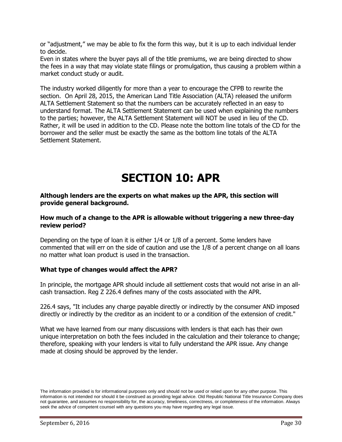or "adjustment," we may be able to fix the form this way, but it is up to each individual lender to decide.

Even in states where the buyer pays all of the title premiums, we are being directed to show the fees in a way that may violate state filings or promulgation, thus causing a problem within a market conduct study or audit.

The industry worked diligently for more than a year to encourage the CFPB to rewrite the section. On April 28, 2015, the American Land Title Association (ALTA) released the uniform ALTA Settlement Statement so that the numbers can be accurately reflected in an easy to understand format. The ALTA Settlement Statement can be used when explaining the numbers to the parties; however, the ALTA Settlement Statement will NOT be used in lieu of the CD. Rather, it will be used in addition to the CD. Please note the bottom line totals of the CD for the borrower and the seller must be exactly the same as the bottom line totals of the ALTA Settlement Statement.

# <span id="page-29-0"></span>**SECTION 10: APR**

#### **Although lenders are the experts on what makes up the APR, this section will provide general background.**

#### **How much of a change to the APR is allowable without triggering a new three-day review period?**

Depending on the type of loan it is either 1/4 or 1/8 of a percent. Some lenders have commented that will err on the side of caution and use the 1/8 of a percent change on all loans no matter what loan product is used in the transaction.

# **What type of changes would affect the APR?**

In principle, the mortgage APR should include all settlement costs that would not arise in an allcash transaction. Reg Z 226.4 defines many of the costs associated with the APR.

226.4 says, "It includes any charge payable directly or indirectly by the consumer AND imposed directly or indirectly by the creditor as an incident to or a condition of the extension of credit."

What we have learned from our many discussions with lenders is that each has their own unique interpretation on both the fees included in the calculation and their tolerance to change; therefore, speaking with your lenders is vital to fully understand the APR issue. Any change made at closing should be approved by the lender.

The information provided is for informational purposes only and should not be used or relied upon for any other purpose. This information is not intended nor should it be construed as providing legal advice. Old Republic National Title Insurance Company does not guarantee, and assumes no responsibility for, the accuracy, timeliness, correctness, or completeness of the information. Always seek the advice of competent counsel with any questions you may have regarding any legal issue.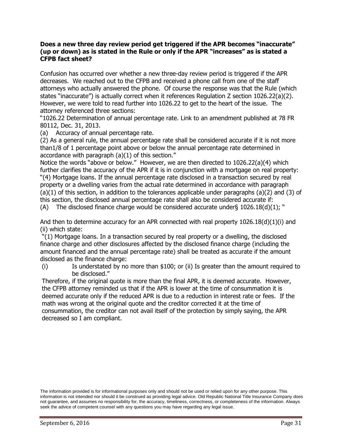#### **Does a new three day review period get triggered if the APR becomes "inaccurate" (up or down) as is stated in the Rule or only if the APR "increases" as is stated a CFPB fact sheet?**

Confusion has occurred over whether a new three-day review period is triggered if the APR decreases. We reached out to the CFPB and received a phone call from one of the staff attorneys who actually answered the phone. Of course the response was that the Rule (which states "inaccurate") is actually correct when it references Regulation Z section 1026.22(a)(2). However, we were told to read further into 1026.22 to get to the heart of the issue. The attorney referenced three sections:

"1026.22 Determination of annual percentage rate. Link to an amendment published at 78 FR 80112, Dec. 31, 2013.

(a) Accuracy of annual percentage rate.

(2) As a general rule, the annual percentage rate shall be considered accurate if it is not more than1/8 of 1 percentage point above or below the annual percentage rate determined in accordance with paragraph (a)(1) of this section."

Notice the words "above or below." However, we are then directed to 1026.22(a)(4) which further clarifies the accuracy of the APR if it is in conjunction with a mortgage on real property: "(4) Mortgage loans. If the annual percentage rate disclosed in a transaction secured by real property or a dwelling varies from the actual rate determined in accordance with paragraph (a)(1) of this section, in addition to the tolerances applicable under paragraphs (a)(2) and (3) of this section, the disclosed annual percentage rate shall also be considered accurate if:

(A) The disclosed finance charge would be considered accurate under  $\{1026.18(d)(1);$  "

And then to determine accuracy for an APR connected with real property 1026.18(d)(1)(i) and (ii) which state:

"(1) Mortgage loans. In a transaction secured by real property or a dwelling, the disclosed finance charge and other disclosures affected by the disclosed finance charge (including the amount financed and the annual percentage rate) shall be treated as accurate if the amount disclosed as the finance charge:

(i) Is understated by no more than \$100; or (ii) Is greater than the amount required to be disclosed."

<span id="page-30-0"></span>Therefore, if the original quote is more than the final APR, it is deemed accurate. However, the CFPB attorney reminded us that if the APR is lower at the time of consummation it is deemed accurate only if the reduced APR is due to a reduction in interest rate or fees. If the math was wrong at the original quote and the creditor corrected it at the time of consummation, the creditor can not avail itself of the protection by simply saying, the APR decreased so I am compliant.

The information provided is for informational purposes only and should not be used or relied upon for any other purpose. This information is not intended nor should it be construed as providing legal advice. Old Republic National Title Insurance Company does not guarantee, and assumes no responsibility for, the accuracy, timeliness, correctness, or completeness of the information. Always seek the advice of competent counsel with any questions you may have regarding any legal issue.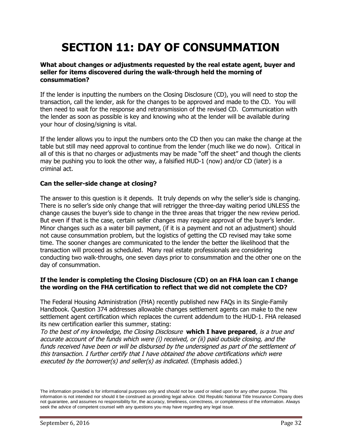# **SECTION 11: DAY OF CONSUMMATION**

## **What about changes or adjustments requested by the real estate agent, buyer and seller for items discovered during the walk-through held the morning of consummation?**

If the lender is inputting the numbers on the Closing Disclosure (CD), you will need to stop the transaction, call the lender, ask for the changes to be approved and made to the CD. You will then need to wait for the response and retransmission of the revised CD. Communication with the lender as soon as possible is key and knowing who at the lender will be available during your hour of closing/signing is vital.

If the lender allows you to input the numbers onto the CD then you can make the change at the table but still may need approval to continue from the lender (much like we do now). Critical in all of this is that no charges or adjustments may be made "off the sheet" and though the clients may be pushing you to look the other way, a falsified HUD-1 (now) and/or CD (later) is a criminal act.

# **Can the seller-side change at closing?**

The answer to this question is it depends. It truly depends on why the seller's side is changing. There is no seller's side only change that will retrigger the three-day waiting period UNLESS the change causes the buyer's side to change in the three areas that trigger the new review period. But even if that is the case, certain seller changes may require approval of the buyer's lender. Minor changes such as a water bill payment, (if it is a payment and not an adjustment) should not cause consummation problem, but the logistics of getting the CD revised may take some time. The sooner changes are communicated to the lender the better the likelihood that the transaction will proceed as scheduled. Many real estate professionals are considering conducting two walk-throughs, one seven days prior to consummation and the other one on the day of consummation.

## **If the lender is completing the Closing Disclosure (CD) on an FHA loan can I change the wording on the FHA certification to reflect that we did not complete the CD?**

The Federal Housing Administration (FHA) recently published new FAQs in its Single-Family Handbook. Question 374 addresses allowable changes settlement agents can make to the new settlement agent certification which replaces the current addendum to the HUD-1. FHA released its new certification earlier this summer, stating:

To the best of my knowledge, the Closing Disclosure **which I have prepared**, is <sup>a</sup> true and accurate account of the funds which were (i) received, or (ii) paid outside closing, and the funds received have been or will be disbursed by the undersigned as part of the settlement of this transaction. I further certify that I have obtained the above certifications which were executed by the borrower(s) and seller(s) as indicated. (Emphasis added.)

The information provided is for informational purposes only and should not be used or relied upon for any other purpose. This information is not intended nor should it be construed as providing legal advice. Old Republic National Title Insurance Company does not guarantee, and assumes no responsibility for, the accuracy, timeliness, correctness, or completeness of the information. Always seek the advice of competent counsel with any questions you may have regarding any legal issue.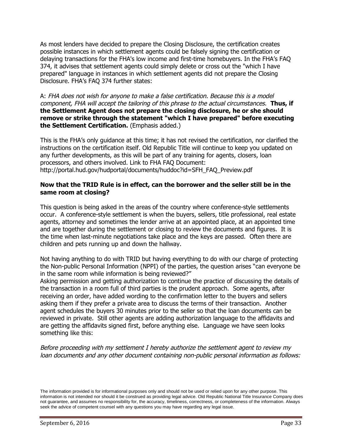As most lenders have decided to prepare the Closing Disclosure, the certification creates possible instances in which settlement agents could be falsely signing the certification or delaying transactions for the FHA's low income and first-time homebuyers. In the FHA's FAQ 374, it advises that settlement agents could simply delete or cross out the "which I have prepared" language in instances in which settlement agents did not prepare the Closing Disclosure. FHA's FAQ 374 further states:

A: FHA does not wish for anyone to make <sup>a</sup> false certification. Because this is <sup>a</sup> model component, FHA will accept the tailoring of this phrase to the actual circumstances. **Thus, if the Settlement Agent does not prepare the closing disclosure, he or she should remove or strike through the statement "which I have prepared" before executing the Settlement Certification.** (Emphasis added.)

This is the FHA's only guidance at this time; it has not revised the certification, nor clarified the instructions on the certification itself. Old Republic Title will continue to keep you updated on any further developments, as this will be part of any training for agents, closers, loan processors, and others involved. Link to FHA FAQ Document: http://portal.hud.gov/hudportal/documents/huddoc?id=SFH\_FAQ\_Preview.pdf

## <span id="page-32-0"></span>**Now that the TRID Rule is in effect, can the borrower and the seller still be in the same room at closing?**

This question is being asked in the areas of the country where conference-style settlements occur. A conference-style settlement is when the buyers, sellers, title professional, real estate agents, attorney and sometimes the lender arrive at an appointed place, at an appointed time and are together during the settlement or closing to review the documents and figures. It is the time when last-minute negotiations take place and the keys are passed. Often there are children and pets running up and down the hallway.

Not having anything to do with TRID but having everything to do with our charge of protecting the Non-public Personal Information (NPPI) of the parties, the question arises "can everyone be in the same room while information is being reviewed?"

Asking permission and getting authorization to continue the practice of discussing the details of the transaction in a room full of third parties is the prudent approach. Some agents, after receiving an order, have added wording to the confirmation letter to the buyers and sellers asking them if they prefer a private area to discuss the terms of their transaction. Another agent schedules the buyers 30 minutes prior to the seller so that the loan documents can be reviewed in private. Still other agents are adding authorization language to the affidavits and are getting the affidavits signed first, before anything else. Language we have seen looks something like this:

Before proceeding with my settlement I hereby authorize the settlement agent to review my loan documents and any other document containing non-public personal information as follows:

The information provided is for informational purposes only and should not be used or relied upon for any other purpose. This information is not intended nor should it be construed as providing legal advice. Old Republic National Title Insurance Company does not guarantee, and assumes no responsibility for, the accuracy, timeliness, correctness, or completeness of the information. Always seek the advice of competent counsel with any questions you may have regarding any legal issue.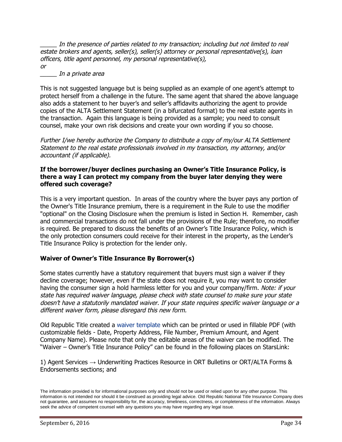In the presence of parties related to my transaction; including but not limited to real estate brokers and agents, seller(s), seller(s) attorney or personal representative(s), loan officers, title agent personnel, my personal representative(s), or

\_\_\_\_\_ In <sup>a</sup> private area

This is not suggested language but is being supplied as an example of one agent's attempt to protect herself from a challenge in the future. The same agent that shared the above language also adds a statement to her buyer's and seller's affidavits authorizing the agent to provide copies of the ALTA Settlement Statement (in a bifurcated format) to the real estate agents in the transaction. Again this language is being provided as a sample; you need to consult counsel, make your own risk decisions and create your own wording if you so choose.

Further I/we hereby authorize the Company to distribute <sup>a</sup> copy of my/our ALTA Settlement Statement to the real estate professionals involved in my transaction, my attorney, and/or accountant (if applicable).

#### **If the borrower/buyer declines purchasing an Owner's Title Insurance Policy, is there a way I can protect my company from the buyer later denying they were offered such coverage?**

This is a very important question. In areas of the country where the buyer pays any portion of the Owner's Title Insurance premium, there is a requirement in the Rule to use the modifier "optional" on the Closing Disclosure when the premium is listed in Section H. Remember, cash and commercial transactions do not fall under the provisions of the Rule; therefore, no modifier is required. Be prepared to discuss the benefits of an Owner's Title Insurance Policy, which is the only protection consumers could receive for their interest in the property, as the Lender's Title Insurance Policy is protection for the lender only.

# **Waiver of Owner's Title Insurance By Borrower(s)**

Some states currently have a statutory requirement that buyers must sign a waiver if they decline coverage; however, even if the state does not require it, you may want to consider having the consumer sign a hold harmless letter for you and your company/firm. Note: if your state has required waiver language, please check with state counsel to make sure your state doesn't have <sup>a</sup> statutorily mandated waiver. If your state requires specific waiver language or <sup>a</sup> different waiver form, please disregard this new form.

Old Republic Title created a [waiver template](http://s792.t.en25.com/e/er?s=792&lid=1495&elq=d798fda98a2c4cb2935949c97d92ed04&elqTrackId=0350698D46AF0A5FDC93ED6D28BDEEED&elqaid=4591&elqat=1) which can be printed or used in fillable PDF (with customizable fields - Date, Property Address, File Number, Premium Amount, and Agent Company Name). Please note that only the editable areas of the waiver can be modified. The "Waiver – Owner's Title Insurance Policy" can be found in the following places on StarsLink:

1) Agent Services → Underwriting Practices Resource in ORT Bulletins or ORT/ALTA Forms & Endorsements sections; and

The information provided is for informational purposes only and should not be used or relied upon for any other purpose. This information is not intended nor should it be construed as providing legal advice. Old Republic National Title Insurance Company does not guarantee, and assumes no responsibility for, the accuracy, timeliness, correctness, or completeness of the information. Always seek the advice of competent counsel with any questions you may have regarding any legal issue.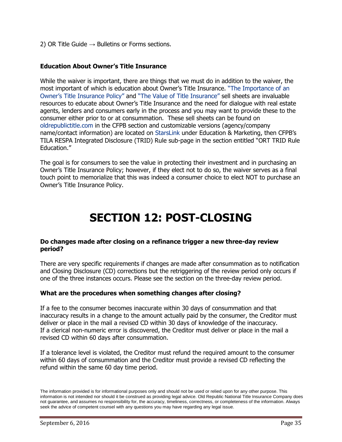2) OR Title Guide  $\rightarrow$  Bulletins or Forms sections.

# **Education About Owner's Title Insurance**

While the waiver is important, there are things that we must do in addition to the waiver, the most important of which is education about Owner's Title Insurance. ["The Importance of an](http://www.oldrepublictitle.com/cfpb/assets/cfpb-ss-importantownerstitle-102115.pdf?elqTrackId=D49F25B81B48A691D84D4C7039A74C6F&elq=d798fda98a2c4cb2935949c97d92ed04&elqCampaignId=1718&elqaid=4591&elqat=1) [Owner's Title Insurance Policy"](http://www.oldrepublictitle.com/cfpb/assets/cfpb-ss-importantownerstitle-102115.pdf?elqTrackId=D49F25B81B48A691D84D4C7039A74C6F&elq=d798fda98a2c4cb2935949c97d92ed04&elqCampaignId=1718&elqaid=4591&elqat=1) and ["The Value of Title Insurance"](http://www.oldrepublictitle.com/cfpb/assets/cfpb-ss-yourhome-102115.pdf?elqTrackId=A4B4D0B649AFB99084E171B0F5F4C81C&elq=d798fda98a2c4cb2935949c97d92ed04&elqCampaignId=1718&elqaid=4591&elqat=1) sell sheets are invaluable resources to educate about Owner's Title Insurance and the need for dialogue with real estate agents, lenders and consumers early in the process and you may want to provide these to the consumer either prior to or at consummation. These sell sheets can be found on [oldrepublictitle.com](http://www.oldrepublictitle.com/cfpb/index.html?elqTrackId=4B12541D33FF4E61E7D77DB85784B4A3&elq=d798fda98a2c4cb2935949c97d92ed04&elqCampaignId=1718&elqaid=4591&elqat=1) in the CFPB section and customizable versions (agency/company name/contact information) are located on [StarsLink](https://www.starslink.com/login_user.aspx?elqTrackId=721854264D2256D81BE6AE00C13BE919&elq=d798fda98a2c4cb2935949c97d92ed04&elqCampaignId=1718&elqaid=4591&elqat=1) under Education & Marketing, then CFPB's TILA RESPA Integrated Disclosure (TRID) Rule sub-page in the section entitled "ORT TRID Rule Education."

The goal is for consumers to see the value in protecting their investment and in purchasing an Owner's Title Insurance Policy; however, if they elect not to do so, the waiver serves as a final touch point to memorialize that this was indeed a consumer choice to elect NOT to purchase an Owner's Title Insurance Policy.

# **SECTION 12: POST-CLOSING**

#### **Do changes made after closing on a refinance trigger a new three-day review period?**

There are very specific requirements if changes are made after consummation as to notification and Closing Disclosure (CD) corrections but the retriggering of the review period only occurs if one of the three instances occurs. Please see the section on the three-day review period.

# **What are the procedures when something changes after closing?**

If a fee to the consumer becomes inaccurate within 30 days of consummation and that inaccuracy results in a change to the amount actually paid by the consumer, the Creditor must deliver or place in the mail a revised CD within 30 days of knowledge of the inaccuracy. If a clerical non-numeric error is discovered, the Creditor must deliver or place in the mail a revised CD within 60 days after consummation.

If a tolerance level is violated, the Creditor must refund the required amount to the consumer within 60 days of consummation and the Creditor must provide a revised CD reflecting the refund within the same 60 day time period.

The information provided is for informational purposes only and should not be used or relied upon for any other purpose. This information is not intended nor should it be construed as providing legal advice. Old Republic National Title Insurance Company does not guarantee, and assumes no responsibility for, the accuracy, timeliness, correctness, or completeness of the information. Always seek the advice of competent counsel with any questions you may have regarding any legal issue.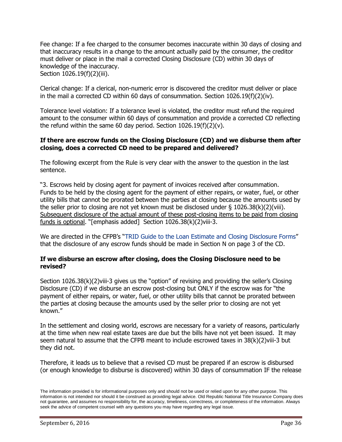Fee change: If a fee charged to the consumer becomes inaccurate within 30 days of closing and that inaccuracy results in a change to the amount actually paid by the consumer, the creditor must deliver or place in the mail a corrected Closing Disclosure (CD) within 30 days of knowledge of the inaccuracy. Section 1026.19(f)(2)(iii).

Clerical change: If a clerical, non-numeric error is discovered the creditor must deliver or place in the mail a corrected CD within 60 days of consummation. Section  $1026.19(f)(2)(iv)$ .

Tolerance level violation: If a tolerance level is violated, the creditor must refund the required amount to the consumer within 60 days of consummation and provide a corrected CD reflecting the refund within the same 60 day period. Section  $1026.19(f)(2)(v)$ .

#### **If there are escrow funds on the Closing Disclosure (CD) and we disburse them after closing, does a corrected CD need to be prepared and delivered?**

The following excerpt from the Rule is very clear with the answer to the question in the last sentence.

"3. Escrows held by closing agent for payment of invoices received after consummation. Funds to be held by the closing agent for the payment of either repairs, or water, fuel, or other utility bills that cannot be prorated between the parties at closing because the amounts used by the seller prior to closing are not yet known must be disclosed under  $\S$  1026.38(k)(2)(viii). Subsequent disclosure of the actual amount of these post-closing items to be paid from closing funds is optional. "[emphasis added] Section 1026.38(k)(2)viii-3.

Weare directed in the CFPB's "[TRID Guide to the Loan Estimate and Closing Disclosure Forms"](http://files.consumerfinance.gov/f/201503_cfpb_tila-respa-integrated-disclosure-guide-to-the-loan-estimate-and-closing.pdf?elqTrackId=E0E8479D48ADA142041BE3A8A90C2ACF&elq=6d5dd021d8704677a9220ef159496a08&elqCampaignId=&elqaid=4775&elqat=1) that the disclosure of any escrow funds should be made in Section N on page 3 of the CD.

## **If we disburse an escrow after closing, does the Closing Disclosure need to be revised?**

Section 1026.38(k)(2)viii-3 gives us the "option" of revising and providing the seller's Closing Disclosure (CD) if we disburse an escrow post-closing but ONLY if the escrow was for "the payment of either repairs, or water, fuel, or other utility bills that cannot be prorated between the parties at closing because the amounts used by the seller prior to closing are not yet known."

In the settlement and closing world, escrows are necessary for a variety of reasons, particularly at the time when new real estate taxes are due but the bills have not yet been issued. It may seem natural to assume that the CFPB meant to include escrowed taxes in 38(k)(2)viii-3 but they did not.

Therefore, it leads us to believe that a revised CD must be prepared if an escrow is disbursed (or enough knowledge to disburse is discovered) within 30 days of consummation IF the release

The information provided is for informational purposes only and should not be used or relied upon for any other purpose. This information is not intended nor should it be construed as providing legal advice. Old Republic National Title Insurance Company does not guarantee, and assumes no responsibility for, the accuracy, timeliness, correctness, or completeness of the information. Always seek the advice of competent counsel with any questions you may have regarding any legal issue.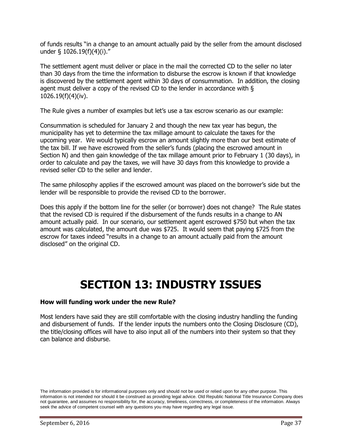of funds results "in a change to an amount actually paid by the seller from the amount disclosed under § 1026.19(f)(4)(i)."

The settlement agent must deliver or place in the mail the corrected CD to the seller no later than 30 days from the time the information to disburse the escrow is known if that knowledge is discovered by the settlement agent within 30 days of consummation. In addition, the closing agent must deliver a copy of the revised CD to the lender in accordance with § 1026.19(f)(4)(iv).

The Rule gives a number of examples but let's use a tax escrow scenario as our example:

Consummation is scheduled for January 2 and though the new tax year has begun, the municipality has yet to determine the tax millage amount to calculate the taxes for the upcoming year. We would typically escrow an amount slightly more than our best estimate of the tax bill. If we have escrowed from the seller's funds (placing the escrowed amount in Section N) and then gain knowledge of the tax millage amount prior to February 1 (30 days), in order to calculate and pay the taxes, we will have 30 days from this knowledge to provide a revised seller CD to the seller and lender.

The same philosophy applies if the escrowed amount was placed on the borrower's side but the lender will be responsible to provide the revised CD to the borrower.

Does this apply if the bottom line for the seller (or borrower) does not change? The Rule states that the revised CD is required if the disbursement of the funds results in a change to AN amount actually paid. In our scenario, our settlement agent escrowed \$750 but when the tax amount was calculated, the amount due was \$725. It would seem that paying \$725 from the escrow for taxes indeed "results in a change to an amount actually paid from the amount disclosed" on the original CD.

# <span id="page-36-0"></span>**SECTION 13: INDUSTRY ISSUES**

#### **How will funding work under the new Rule?**

Most lenders have said they are still comfortable with the closing industry handling the funding and disbursement of funds. If the lender inputs the numbers onto the Closing Disclosure (CD), the title/closing offices will have to also input all of the numbers into their system so that they can balance and disburse.

The information provided is for informational purposes only and should not be used or relied upon for any other purpose. This information is not intended nor should it be construed as providing legal advice. Old Republic National Title Insurance Company does not guarantee, and assumes no responsibility for, the accuracy, timeliness, correctness, or completeness of the information. Always seek the advice of competent counsel with any questions you may have regarding any legal issue.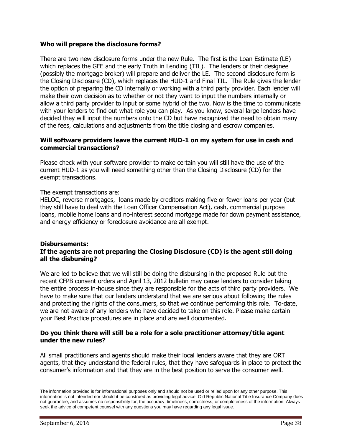### **Who will prepare the disclosure forms?**

There are two new disclosure forms under the new Rule. The first is the Loan Estimate (LE) which replaces the GFE and the early Truth in Lending (TIL). The lenders or their designee (possibly the mortgage broker) will prepare and deliver the LE. The second disclosure form is the Closing Disclosure (CD), which replaces the HUD-1 and Final TIL. The Rule gives the lender the option of preparing the CD internally or working with a third party provider. Each lender will make their own decision as to whether or not they want to input the numbers internally or allow a third party provider to input or some hybrid of the two. Now is the time to communicate with your lenders to find out what role you can play. As you know, several large lenders have decided they will input the numbers onto the CD but have recognized the need to obtain many of the fees, calculations and adjustments from the title closing and escrow companies.

#### **Will software providers leave the current HUD-1 on my system for use in cash and commercial transactions?**

Please check with your software provider to make certain you will still have the use of the current HUD-1 as you will need something other than the Closing Disclosure (CD) for the exempt transactions.

#### The exempt transactions are:

HELOC, reverse mortgages, loans made by creditors making five or fewer loans per year (but they still have to deal with the Loan Officer Compensation Act), cash, commercial purpose loans, mobile home loans and no-interest second mortgage made for down payment assistance, and energy efficiency or foreclosure avoidance are all exempt.

#### **Disbursements: If the agents are not preparing the Closing Disclosure (CD) is the agent still doing all the disbursing?**

We are led to believe that we will still be doing the disbursing in the proposed Rule but the recent CFPB consent orders and April 13, 2012 bulletin may cause lenders to consider taking the entire process in-house since they are responsible for the acts of third party providers. We have to make sure that our lenders understand that we are serious about following the rules and protecting the rights of the consumers, so that we continue performing this role. To-date, we are not aware of any lenders who have decided to take on this role. Please make certain your Best Practice procedures are in place and are well documented.

## **Do you think there will still be a role for a sole practitioner attorney/title agent under the new rules?**

All small practitioners and agents should make their local lenders aware that they are ORT agents, that they understand the federal rules, that they have safeguards in place to protect the consumer's information and that they are in the best position to serve the consumer well.

The information provided is for informational purposes only and should not be used or relied upon for any other purpose. This information is not intended nor should it be construed as providing legal advice. Old Republic National Title Insurance Company does not guarantee, and assumes no responsibility for, the accuracy, timeliness, correctness, or completeness of the information. Always seek the advice of competent counsel with any questions you may have regarding any legal issue.